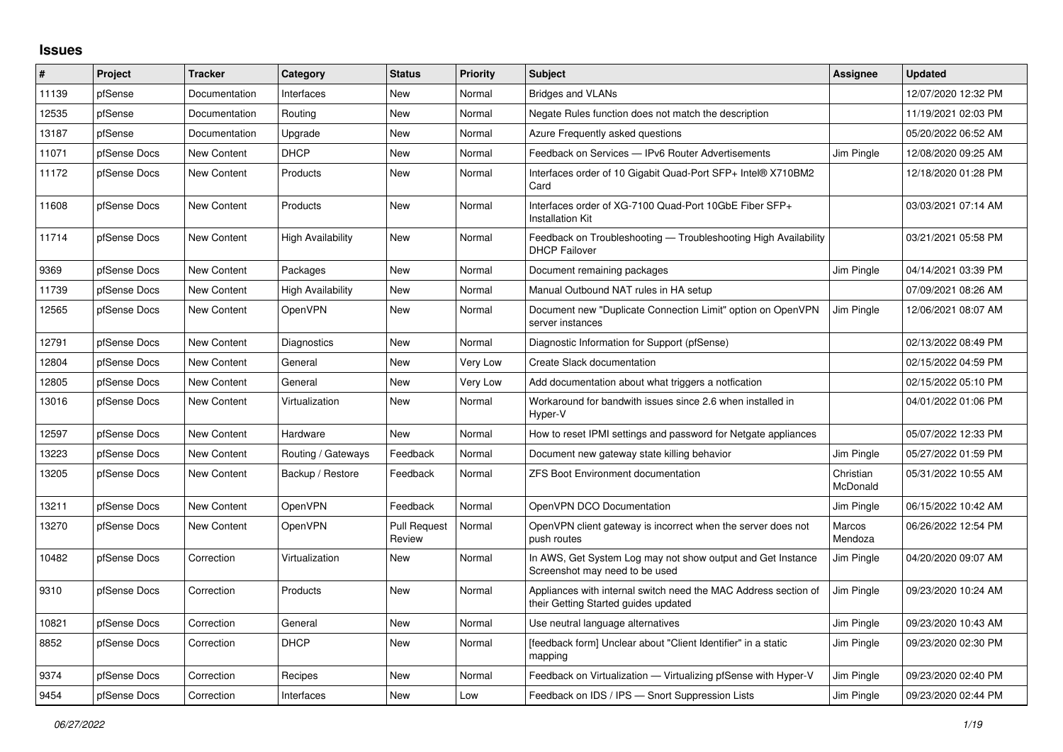## **Issues**

| #     | Project      | <b>Tracker</b>     | Category                 | <b>Status</b>                 | <b>Priority</b> | <b>Subject</b>                                                                                          | Assignee              | <b>Updated</b>      |
|-------|--------------|--------------------|--------------------------|-------------------------------|-----------------|---------------------------------------------------------------------------------------------------------|-----------------------|---------------------|
| 11139 | pfSense      | Documentation      | Interfaces               | <b>New</b>                    | Normal          | <b>Bridges and VLANs</b>                                                                                |                       | 12/07/2020 12:32 PM |
| 12535 | pfSense      | Documentation      | Routing                  | <b>New</b>                    | Normal          | Negate Rules function does not match the description                                                    |                       | 11/19/2021 02:03 PM |
| 13187 | pfSense      | Documentation      | Upgrade                  | New                           | Normal          | Azure Frequently asked questions                                                                        |                       | 05/20/2022 06:52 AM |
| 11071 | pfSense Docs | <b>New Content</b> | <b>DHCP</b>              | New                           | Normal          | Feedback on Services - IPv6 Router Advertisements                                                       | Jim Pingle            | 12/08/2020 09:25 AM |
| 11172 | pfSense Docs | <b>New Content</b> | Products                 | New                           | Normal          | Interfaces order of 10 Gigabit Quad-Port SFP+ Intel® X710BM2<br>Card                                    |                       | 12/18/2020 01:28 PM |
| 11608 | pfSense Docs | <b>New Content</b> | Products                 | New                           | Normal          | Interfaces order of XG-7100 Quad-Port 10GbE Fiber SFP+<br><b>Installation Kit</b>                       |                       | 03/03/2021 07:14 AM |
| 11714 | pfSense Docs | <b>New Content</b> | <b>High Availability</b> | <b>New</b>                    | Normal          | Feedback on Troubleshooting - Troubleshooting High Availability<br><b>DHCP Failover</b>                 |                       | 03/21/2021 05:58 PM |
| 9369  | pfSense Docs | New Content        | Packages                 | <b>New</b>                    | Normal          | Document remaining packages                                                                             | Jim Pingle            | 04/14/2021 03:39 PM |
| 11739 | pfSense Docs | <b>New Content</b> | High Availability        | <b>New</b>                    | Normal          | Manual Outbound NAT rules in HA setup                                                                   |                       | 07/09/2021 08:26 AM |
| 12565 | pfSense Docs | New Content        | <b>OpenVPN</b>           | <b>New</b>                    | Normal          | Document new "Duplicate Connection Limit" option on OpenVPN<br>server instances                         | Jim Pingle            | 12/06/2021 08:07 AM |
| 12791 | pfSense Docs | <b>New Content</b> | Diagnostics              | <b>New</b>                    | Normal          | Diagnostic Information for Support (pfSense)                                                            |                       | 02/13/2022 08:49 PM |
| 12804 | pfSense Docs | <b>New Content</b> | General                  | <b>New</b>                    | Very Low        | Create Slack documentation                                                                              |                       | 02/15/2022 04:59 PM |
| 12805 | pfSense Docs | <b>New Content</b> | General                  | New                           | Very Low        | Add documentation about what triggers a notfication                                                     |                       | 02/15/2022 05:10 PM |
| 13016 | pfSense Docs | <b>New Content</b> | Virtualization           | <b>New</b>                    | Normal          | Workaround for bandwith issues since 2.6 when installed in<br>Hyper-V                                   |                       | 04/01/2022 01:06 PM |
| 12597 | pfSense Docs | <b>New Content</b> | Hardware                 | <b>New</b>                    | Normal          | How to reset IPMI settings and password for Netgate appliances                                          |                       | 05/07/2022 12:33 PM |
| 13223 | pfSense Docs | <b>New Content</b> | Routing / Gateways       | Feedback                      | Normal          | Document new gateway state killing behavior                                                             | Jim Pingle            | 05/27/2022 01:59 PM |
| 13205 | pfSense Docs | <b>New Content</b> | Backup / Restore         | Feedback                      | Normal          | <b>ZFS Boot Environment documentation</b>                                                               | Christian<br>McDonald | 05/31/2022 10:55 AM |
| 13211 | pfSense Docs | <b>New Content</b> | <b>OpenVPN</b>           | Feedback                      | Normal          | OpenVPN DCO Documentation                                                                               | Jim Pingle            | 06/15/2022 10:42 AM |
| 13270 | pfSense Docs | <b>New Content</b> | <b>OpenVPN</b>           | <b>Pull Request</b><br>Review | Normal          | OpenVPN client gateway is incorrect when the server does not<br>push routes                             | Marcos<br>Mendoza     | 06/26/2022 12:54 PM |
| 10482 | pfSense Docs | Correction         | Virtualization           | New                           | Normal          | In AWS, Get System Log may not show output and Get Instance<br>Screenshot may need to be used           | Jim Pingle            | 04/20/2020 09:07 AM |
| 9310  | pfSense Docs | Correction         | <b>Products</b>          | <b>New</b>                    | Normal          | Appliances with internal switch need the MAC Address section of<br>their Getting Started guides updated | Jim Pingle            | 09/23/2020 10:24 AM |
| 10821 | pfSense Docs | Correction         | General                  | New                           | Normal          | Use neutral language alternatives                                                                       | Jim Pingle            | 09/23/2020 10:43 AM |
| 8852  | pfSense Docs | Correction         | <b>DHCP</b>              | New                           | Normal          | [feedback form] Unclear about "Client Identifier" in a static<br>mapping                                | Jim Pingle            | 09/23/2020 02:30 PM |
| 9374  | pfSense Docs | Correction         | Recipes                  | New                           | Normal          | Feedback on Virtualization - Virtualizing pfSense with Hyper-V                                          | Jim Pingle            | 09/23/2020 02:40 PM |
| 9454  | pfSense Docs | Correction         | Interfaces               | New                           | Low             | Feedback on IDS / IPS - Snort Suppression Lists                                                         | Jim Pingle            | 09/23/2020 02:44 PM |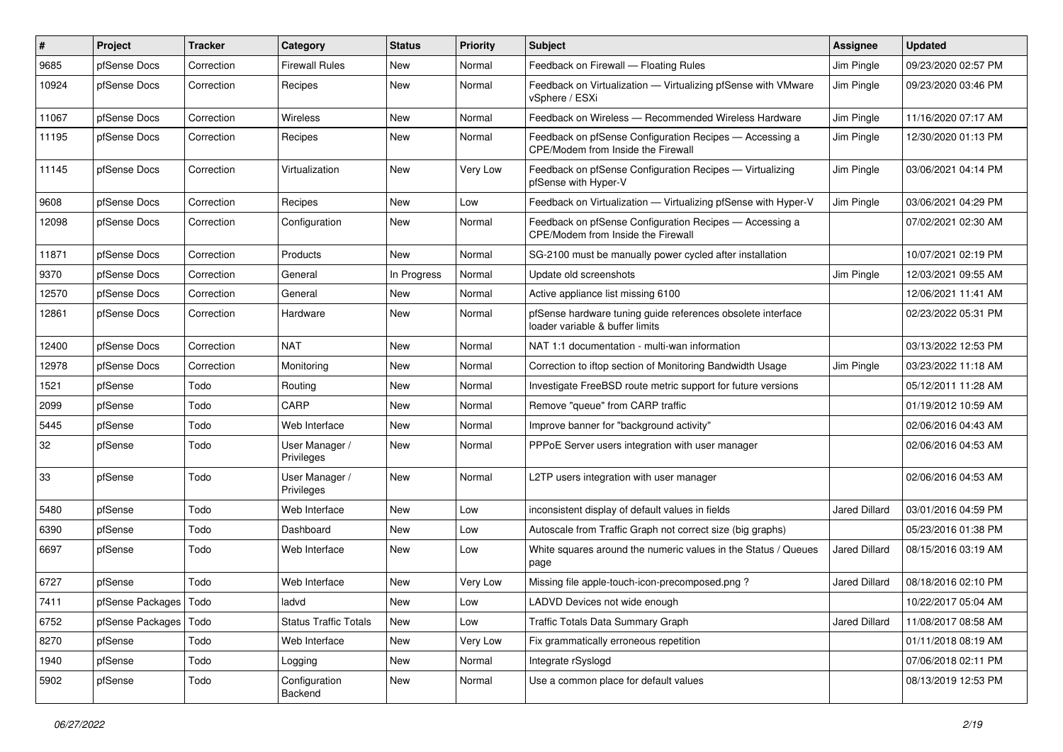| #     | Project                 | Tracker    | Category                     | <b>Status</b> | <b>Priority</b> | <b>Subject</b>                                                                                 | <b>Assignee</b>      | <b>Updated</b>      |
|-------|-------------------------|------------|------------------------------|---------------|-----------------|------------------------------------------------------------------------------------------------|----------------------|---------------------|
| 9685  | pfSense Docs            | Correction | Firewall Rules               | New           | Normal          | Feedback on Firewall - Floating Rules                                                          | Jim Pingle           | 09/23/2020 02:57 PM |
| 10924 | pfSense Docs            | Correction | Recipes                      | New           | Normal          | Feedback on Virtualization - Virtualizing pfSense with VMware<br>vSphere / ESXi                | Jim Pingle           | 09/23/2020 03:46 PM |
| 11067 | pfSense Docs            | Correction | Wireless                     | New           | Normal          | Feedback on Wireless - Recommended Wireless Hardware                                           | Jim Pingle           | 11/16/2020 07:17 AM |
| 11195 | pfSense Docs            | Correction | Recipes                      | New           | Normal          | Feedback on pfSense Configuration Recipes - Accessing a<br>CPE/Modem from Inside the Firewall  | Jim Pingle           | 12/30/2020 01:13 PM |
| 11145 | pfSense Docs            | Correction | Virtualization               | New           | Very Low        | Feedback on pfSense Configuration Recipes - Virtualizing<br>pfSense with Hyper-V               | Jim Pingle           | 03/06/2021 04:14 PM |
| 9608  | pfSense Docs            | Correction | Recipes                      | New           | Low             | Feedback on Virtualization - Virtualizing pfSense with Hyper-V                                 | Jim Pingle           | 03/06/2021 04:29 PM |
| 12098 | pfSense Docs            | Correction | Configuration                | New           | Normal          | Feedback on pfSense Configuration Recipes - Accessing a<br>CPE/Modem from Inside the Firewall  |                      | 07/02/2021 02:30 AM |
| 11871 | pfSense Docs            | Correction | Products                     | New           | Normal          | SG-2100 must be manually power cycled after installation                                       |                      | 10/07/2021 02:19 PM |
| 9370  | pfSense Docs            | Correction | General                      | In Progress   | Normal          | Update old screenshots                                                                         | Jim Pingle           | 12/03/2021 09:55 AM |
| 12570 | pfSense Docs            | Correction | General                      | New           | Normal          | Active appliance list missing 6100                                                             |                      | 12/06/2021 11:41 AM |
| 12861 | pfSense Docs            | Correction | Hardware                     | New           | Normal          | pfSense hardware tuning guide references obsolete interface<br>loader variable & buffer limits |                      | 02/23/2022 05:31 PM |
| 12400 | pfSense Docs            | Correction | <b>NAT</b>                   | New           | Normal          | NAT 1:1 documentation - multi-wan information                                                  |                      | 03/13/2022 12:53 PM |
| 12978 | pfSense Docs            | Correction | Monitoring                   | New           | Normal          | Correction to iftop section of Monitoring Bandwidth Usage                                      | Jim Pingle           | 03/23/2022 11:18 AM |
| 1521  | pfSense                 | Todo       | Routina                      | New           | Normal          | Investigate FreeBSD route metric support for future versions                                   |                      | 05/12/2011 11:28 AM |
| 2099  | pfSense                 | Todo       | CARP                         | New           | Normal          | Remove "queue" from CARP traffic                                                               |                      | 01/19/2012 10:59 AM |
| 5445  | pfSense                 | Todo       | Web Interface                | New           | Normal          | Improve banner for "background activity"                                                       |                      | 02/06/2016 04:43 AM |
| 32    | pfSense                 | Todo       | User Manager /<br>Privileges | New           | Normal          | PPPoE Server users integration with user manager                                               |                      | 02/06/2016 04:53 AM |
| 33    | pfSense                 | Todo       | User Manager /<br>Privileges | New           | Normal          | L2TP users integration with user manager                                                       |                      | 02/06/2016 04:53 AM |
| 5480  | pfSense                 | Todo       | Web Interface                | New           | Low             | inconsistent display of default values in fields                                               | Jared Dillard        | 03/01/2016 04:59 PM |
| 6390  | pfSense                 | Todo       | Dashboard                    | New           | Low             | Autoscale from Traffic Graph not correct size (big graphs)                                     |                      | 05/23/2016 01:38 PM |
| 6697  | pfSense                 | Todo       | Web Interface                | New           | Low             | White squares around the numeric values in the Status / Queues<br>page                         | <b>Jared Dillard</b> | 08/15/2016 03:19 AM |
| 6727  | pfSense                 | Todo       | Web Interface                | New           | Very Low        | Missing file apple-touch-icon-precomposed.png?                                                 | Jared Dillard        | 08/18/2016 02:10 PM |
| 7411  | pfSense Packages   Todo |            | ladvd                        | New           | Low             | LADVD Devices not wide enough                                                                  |                      | 10/22/2017 05:04 AM |
| 6752  | pfSense Packages        | Todo       | <b>Status Traffic Totals</b> | New           | Low             | Traffic Totals Data Summary Graph                                                              | <b>Jared Dillard</b> | 11/08/2017 08:58 AM |
| 8270  | pfSense                 | Todo       | Web Interface                | New           | Very Low        | Fix grammatically erroneous repetition                                                         |                      | 01/11/2018 08:19 AM |
| 1940  | pfSense                 | Todo       | Logging                      | New           | Normal          | Integrate rSyslogd                                                                             |                      | 07/06/2018 02:11 PM |
| 5902  | pfSense                 | Todo       | Configuration<br>Backend     | New           | Normal          | Use a common place for default values                                                          |                      | 08/13/2019 12:53 PM |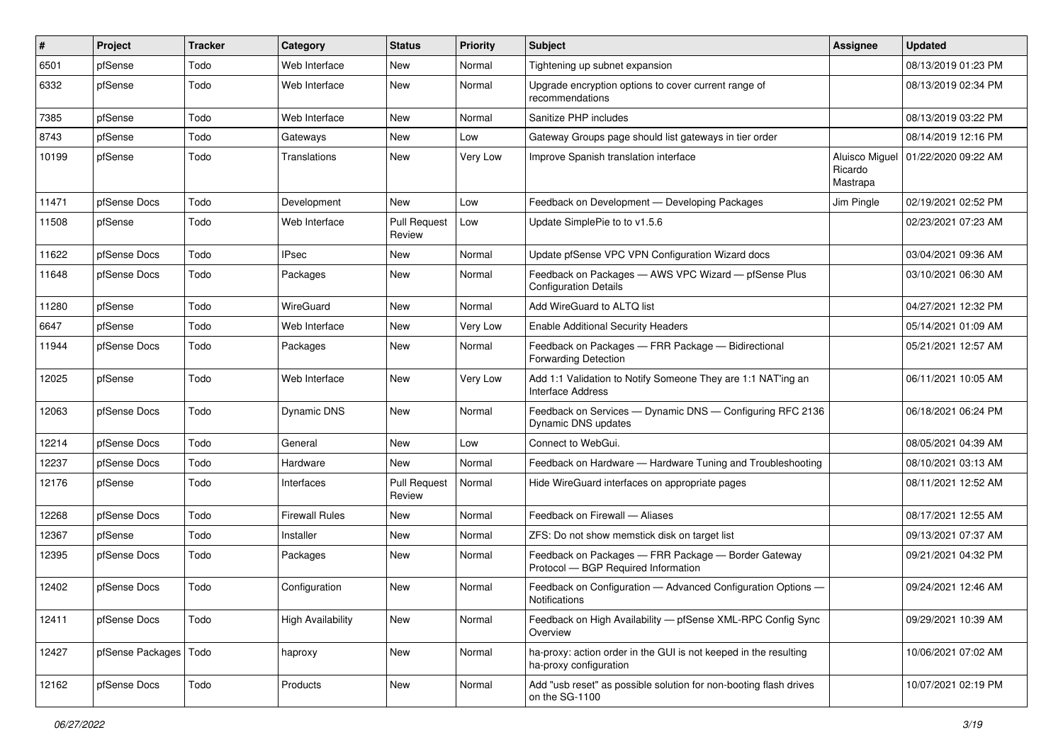| ∦     | Project          | <b>Tracker</b> | Category                 | <b>Status</b>                 | <b>Priority</b> | <b>Subject</b>                                                                             | Assignee                              | <b>Updated</b>      |
|-------|------------------|----------------|--------------------------|-------------------------------|-----------------|--------------------------------------------------------------------------------------------|---------------------------------------|---------------------|
| 6501  | pfSense          | Todo           | Web Interface            | New                           | Normal          | Tightening up subnet expansion                                                             |                                       | 08/13/2019 01:23 PM |
| 6332  | pfSense          | Todo           | Web Interface            | <b>New</b>                    | Normal          | Upgrade encryption options to cover current range of<br>recommendations                    |                                       | 08/13/2019 02:34 PM |
| 7385  | pfSense          | Todo           | Web Interface            | New                           | Normal          | Sanitize PHP includes                                                                      |                                       | 08/13/2019 03:22 PM |
| 8743  | pfSense          | Todo           | Gateways                 | New                           | Low             | Gateway Groups page should list gateways in tier order                                     |                                       | 08/14/2019 12:16 PM |
| 10199 | pfSense          | Todo           | Translations             | New                           | Very Low        | Improve Spanish translation interface                                                      | Aluisco Miguel<br>Ricardo<br>Mastrapa | 01/22/2020 09:22 AM |
| 11471 | pfSense Docs     | Todo           | Development              | New                           | Low             | Feedback on Development - Developing Packages                                              | Jim Pingle                            | 02/19/2021 02:52 PM |
| 11508 | pfSense          | Todo           | Web Interface            | <b>Pull Request</b><br>Review | Low             | Update SimplePie to to v1.5.6                                                              |                                       | 02/23/2021 07:23 AM |
| 11622 | pfSense Docs     | Todo           | IPsec                    | New                           | Normal          | Update pfSense VPC VPN Configuration Wizard docs                                           |                                       | 03/04/2021 09:36 AM |
| 11648 | pfSense Docs     | Todo           | Packages                 | New                           | Normal          | Feedback on Packages - AWS VPC Wizard - pfSense Plus<br><b>Configuration Details</b>       |                                       | 03/10/2021 06:30 AM |
| 11280 | pfSense          | Todo           | WireGuard                | New                           | Normal          | Add WireGuard to ALTQ list                                                                 |                                       | 04/27/2021 12:32 PM |
| 6647  | pfSense          | Todo           | Web Interface            | New                           | Very Low        | <b>Enable Additional Security Headers</b>                                                  |                                       | 05/14/2021 01:09 AM |
| 11944 | pfSense Docs     | Todo           | Packages                 | New                           | Normal          | Feedback on Packages - FRR Package - Bidirectional<br><b>Forwarding Detection</b>          |                                       | 05/21/2021 12:57 AM |
| 12025 | pfSense          | Todo           | Web Interface            | New                           | Very Low        | Add 1:1 Validation to Notify Someone They are 1:1 NAT'ing an<br><b>Interface Address</b>   |                                       | 06/11/2021 10:05 AM |
| 12063 | pfSense Docs     | Todo           | <b>Dynamic DNS</b>       | New                           | Normal          | Feedback on Services - Dynamic DNS - Configuring RFC 2136<br>Dynamic DNS updates           |                                       | 06/18/2021 06:24 PM |
| 12214 | pfSense Docs     | Todo           | General                  | <b>New</b>                    | Low             | Connect to WebGui.                                                                         |                                       | 08/05/2021 04:39 AM |
| 12237 | pfSense Docs     | Todo           | Hardware                 | New                           | Normal          | Feedback on Hardware - Hardware Tuning and Troubleshooting                                 |                                       | 08/10/2021 03:13 AM |
| 12176 | pfSense          | Todo           | Interfaces               | <b>Pull Request</b><br>Review | Normal          | Hide WireGuard interfaces on appropriate pages                                             |                                       | 08/11/2021 12:52 AM |
| 12268 | pfSense Docs     | Todo           | <b>Firewall Rules</b>    | New                           | Normal          | Feedback on Firewall - Aliases                                                             |                                       | 08/17/2021 12:55 AM |
| 12367 | pfSense          | Todo           | Installer                | New                           | Normal          | ZFS: Do not show memstick disk on target list                                              |                                       | 09/13/2021 07:37 AM |
| 12395 | pfSense Docs     | Todo           | Packages                 | New                           | Normal          | Feedback on Packages - FRR Package - Border Gateway<br>Protocol - BGP Required Information |                                       | 09/21/2021 04:32 PM |
| 12402 | pfSense Docs     | Todo           | Configuration            | <b>New</b>                    | Normal          | Feedback on Configuration - Advanced Configuration Options -<br>Notifications              |                                       | 09/24/2021 12:46 AM |
| 12411 | pfSense Docs     | Todo           | <b>High Availability</b> | New                           | Normal          | Feedback on High Availability - pfSense XML-RPC Config Sync<br>Overview                    |                                       | 09/29/2021 10:39 AM |
| 12427 | pfSense Packages | Todo           | haproxy                  | New                           | Normal          | ha-proxy: action order in the GUI is not keeped in the resulting<br>ha-proxy configuration |                                       | 10/06/2021 07:02 AM |
| 12162 | pfSense Docs     | Todo           | Products                 | New                           | Normal          | Add "usb reset" as possible solution for non-booting flash drives<br>on the SG-1100        |                                       | 10/07/2021 02:19 PM |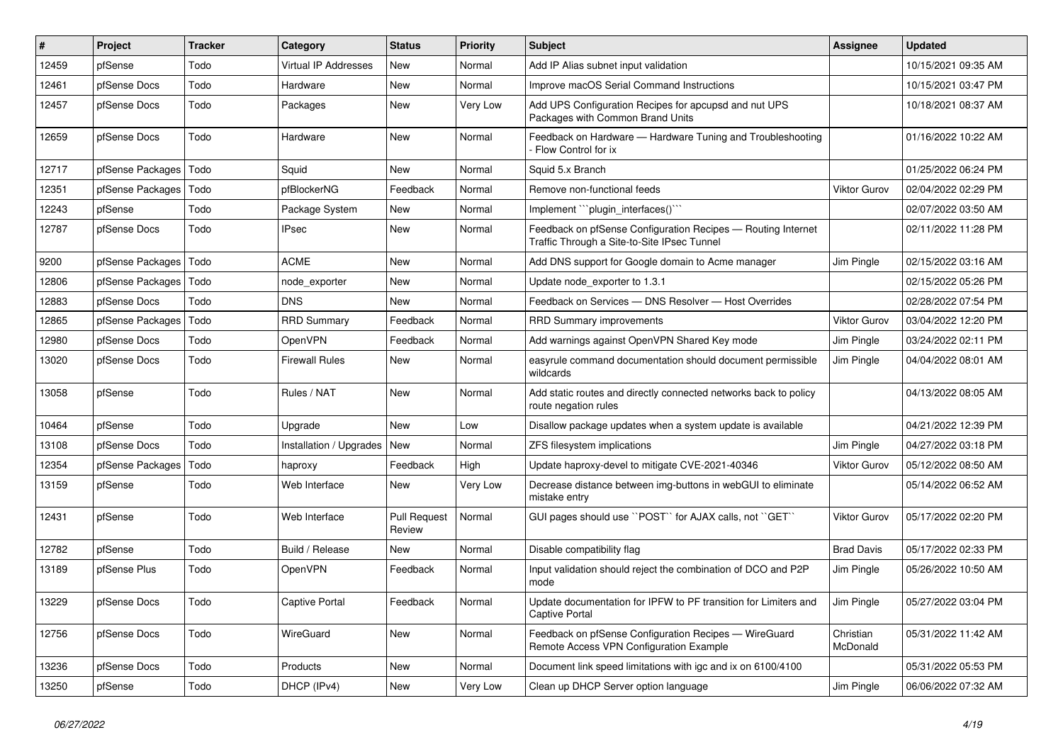| #     | Project          | <b>Tracker</b> | Category                    | <b>Status</b>                 | <b>Priority</b> | <b>Subject</b>                                                                                              | Assignee              | <b>Updated</b>      |
|-------|------------------|----------------|-----------------------------|-------------------------------|-----------------|-------------------------------------------------------------------------------------------------------------|-----------------------|---------------------|
| 12459 | pfSense          | Todo           | <b>Virtual IP Addresses</b> | <b>New</b>                    | Normal          | Add IP Alias subnet input validation                                                                        |                       | 10/15/2021 09:35 AM |
| 12461 | pfSense Docs     | Todo           | Hardware                    | <b>New</b>                    | Normal          | Improve macOS Serial Command Instructions                                                                   |                       | 10/15/2021 03:47 PM |
| 12457 | pfSense Docs     | Todo           | Packages                    | New                           | Very Low        | Add UPS Configuration Recipes for apcupsd and nut UPS<br>Packages with Common Brand Units                   |                       | 10/18/2021 08:37 AM |
| 12659 | pfSense Docs     | Todo           | Hardware                    | <b>New</b>                    | Normal          | Feedback on Hardware - Hardware Tuning and Troubleshooting<br>Flow Control for ix                           |                       | 01/16/2022 10:22 AM |
| 12717 | pfSense Packages | l Todo         | Squid                       | New                           | Normal          | Squid 5.x Branch                                                                                            |                       | 01/25/2022 06:24 PM |
| 12351 | pfSense Packages | Todo           | pfBlockerNG                 | Feedback                      | Normal          | Remove non-functional feeds                                                                                 | Viktor Gurov          | 02/04/2022 02:29 PM |
| 12243 | pfSense          | Todo           | Package System              | New                           | Normal          | Implement "``plugin_interfaces()```                                                                         |                       | 02/07/2022 03:50 AM |
| 12787 | pfSense Docs     | Todo           | <b>IPsec</b>                | New                           | Normal          | Feedback on pfSense Configuration Recipes - Routing Internet<br>Traffic Through a Site-to-Site IPsec Tunnel |                       | 02/11/2022 11:28 PM |
| 9200  | pfSense Packages | Todo           | <b>ACME</b>                 | New                           | Normal          | Add DNS support for Google domain to Acme manager                                                           | Jim Pingle            | 02/15/2022 03:16 AM |
| 12806 | pfSense Packages | Todo           | node exporter               | New                           | Normal          | Update node exporter to 1.3.1                                                                               |                       | 02/15/2022 05:26 PM |
| 12883 | pfSense Docs     | Todo           | <b>DNS</b>                  | New                           | Normal          | Feedback on Services - DNS Resolver - Host Overrides                                                        |                       | 02/28/2022 07:54 PM |
| 12865 | pfSense Packages | Todo           | <b>RRD Summary</b>          | Feedback                      | Normal          | <b>RRD Summary improvements</b>                                                                             | Viktor Gurov          | 03/04/2022 12:20 PM |
| 12980 | pfSense Docs     | Todo           | OpenVPN                     | Feedback                      | Normal          | Add warnings against OpenVPN Shared Key mode                                                                | Jim Pingle            | 03/24/2022 02:11 PM |
| 13020 | pfSense Docs     | Todo           | <b>Firewall Rules</b>       | New                           | Normal          | easyrule command documentation should document permissible<br>wildcards                                     | Jim Pingle            | 04/04/2022 08:01 AM |
| 13058 | pfSense          | Todo           | Rules / NAT                 | New                           | Normal          | Add static routes and directly connected networks back to policy<br>route negation rules                    |                       | 04/13/2022 08:05 AM |
| 10464 | pfSense          | Todo           | Upgrade                     | <b>New</b>                    | Low             | Disallow package updates when a system update is available                                                  |                       | 04/21/2022 12:39 PM |
| 13108 | pfSense Docs     | Todo           | Installation / Upgrades     | New                           | Normal          | ZFS filesystem implications                                                                                 | Jim Pingle            | 04/27/2022 03:18 PM |
| 12354 | pfSense Packages | Todo           | haproxy                     | Feedback                      | High            | Update haproxy-devel to mitigate CVE-2021-40346                                                             | <b>Viktor Gurov</b>   | 05/12/2022 08:50 AM |
| 13159 | pfSense          | Todo           | Web Interface               | New                           | Very Low        | Decrease distance between img-buttons in webGUI to eliminate<br>mistake entry                               |                       | 05/14/2022 06:52 AM |
| 12431 | pfSense          | Todo           | Web Interface               | <b>Pull Request</b><br>Review | Normal          | GUI pages should use "POST" for AJAX calls, not "GET"                                                       | Viktor Gurov          | 05/17/2022 02:20 PM |
| 12782 | pfSense          | Todo           | Build / Release             | New                           | Normal          | Disable compatibility flag                                                                                  | <b>Brad Davis</b>     | 05/17/2022 02:33 PM |
| 13189 | pfSense Plus     | Todo           | OpenVPN                     | Feedback                      | Normal          | Input validation should reject the combination of DCO and P2P<br>mode                                       | Jim Pingle            | 05/26/2022 10:50 AM |
| 13229 | pfSense Docs     | Todo           | Captive Portal              | Feedback                      | Normal          | Update documentation for IPFW to PF transition for Limiters and<br><b>Captive Portal</b>                    | Jim Pingle            | 05/27/2022 03:04 PM |
| 12756 | pfSense Docs     | Todo           | WireGuard                   | <b>New</b>                    | Normal          | Feedback on pfSense Configuration Recipes - WireGuard<br>Remote Access VPN Configuration Example            | Christian<br>McDonald | 05/31/2022 11:42 AM |
| 13236 | pfSense Docs     | Todo           | Products                    | <b>New</b>                    | Normal          | Document link speed limitations with igc and ix on 6100/4100                                                |                       | 05/31/2022 05:53 PM |
| 13250 | pfSense          | Todo           | DHCP (IPv4)                 | New                           | Very Low        | Clean up DHCP Server option language                                                                        | Jim Pingle            | 06/06/2022 07:32 AM |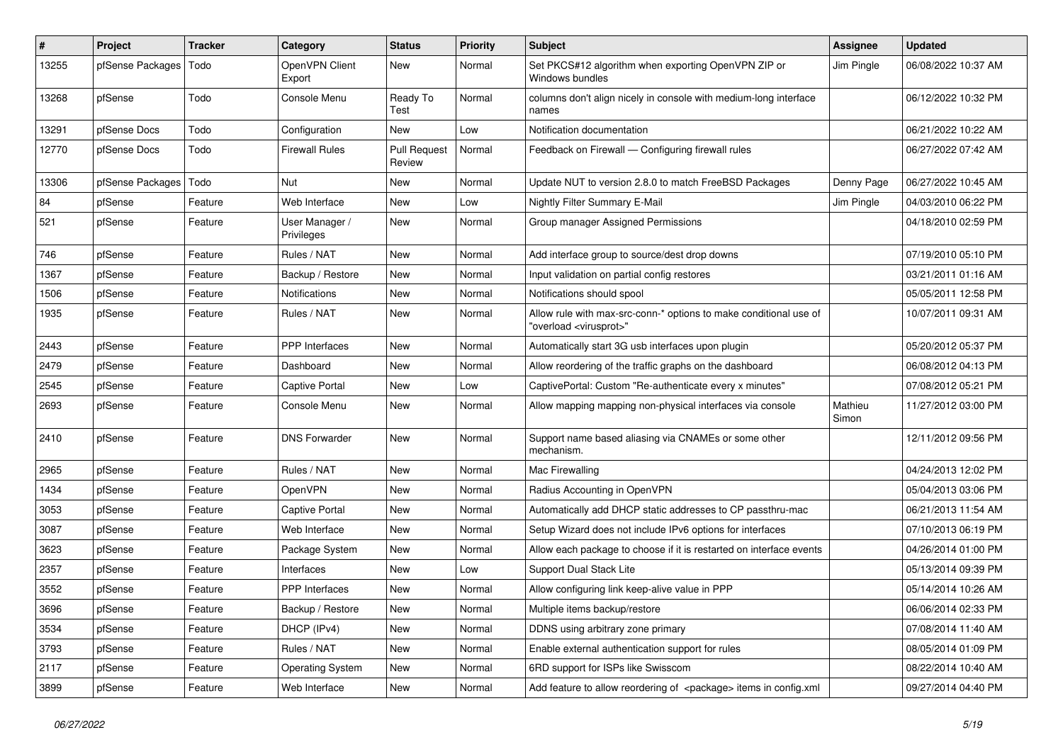| $\pmb{\#}$ | Project          | <b>Tracker</b> | Category                     | <b>Status</b>                 | <b>Priority</b> | <b>Subject</b>                                                                                          | <b>Assignee</b>  | <b>Updated</b>      |
|------------|------------------|----------------|------------------------------|-------------------------------|-----------------|---------------------------------------------------------------------------------------------------------|------------------|---------------------|
| 13255      | pfSense Packages | Todo           | OpenVPN Client<br>Export     | <b>New</b>                    | Normal          | Set PKCS#12 algorithm when exporting OpenVPN ZIP or<br>Windows bundles                                  | Jim Pingle       | 06/08/2022 10:37 AM |
| 13268      | pfSense          | Todo           | Console Menu                 | Ready To<br>Test              | Normal          | columns don't align nicely in console with medium-long interface<br>names                               |                  | 06/12/2022 10:32 PM |
| 13291      | pfSense Docs     | Todo           | Configuration                | New                           | Low             | Notification documentation                                                                              |                  | 06/21/2022 10:22 AM |
| 12770      | pfSense Docs     | Todo           | Firewall Rules               | <b>Pull Request</b><br>Review | Normal          | Feedback on Firewall - Configuring firewall rules                                                       |                  | 06/27/2022 07:42 AM |
| 13306      | pfSense Packages | Todo           | Nut                          | <b>New</b>                    | Normal          | Update NUT to version 2.8.0 to match FreeBSD Packages                                                   | Denny Page       | 06/27/2022 10:45 AM |
| 84         | pfSense          | Feature        | Web Interface                | New                           | Low             | Nightly Filter Summary E-Mail                                                                           | Jim Pingle       | 04/03/2010 06:22 PM |
| 521        | pfSense          | Feature        | User Manager /<br>Privileges | <b>New</b>                    | Normal          | Group manager Assigned Permissions                                                                      |                  | 04/18/2010 02:59 PM |
| 746        | pfSense          | Feature        | Rules / NAT                  | <b>New</b>                    | Normal          | Add interface group to source/dest drop downs                                                           |                  | 07/19/2010 05:10 PM |
| 1367       | pfSense          | Feature        | Backup / Restore             | <b>New</b>                    | Normal          | Input validation on partial config restores                                                             |                  | 03/21/2011 01:16 AM |
| 1506       | pfSense          | Feature        | Notifications                | New                           | Normal          | Notifications should spool                                                                              |                  | 05/05/2011 12:58 PM |
| 1935       | pfSense          | Feature        | Rules / NAT                  | New                           | Normal          | Allow rule with max-src-conn-* options to make conditional use of<br>"overload <virusprot>"</virusprot> |                  | 10/07/2011 09:31 AM |
| 2443       | pfSense          | Feature        | <b>PPP</b> Interfaces        | New                           | Normal          | Automatically start 3G usb interfaces upon plugin                                                       |                  | 05/20/2012 05:37 PM |
| 2479       | pfSense          | Feature        | Dashboard                    | <b>New</b>                    | Normal          | Allow reordering of the traffic graphs on the dashboard                                                 |                  | 06/08/2012 04:13 PM |
| 2545       | pfSense          | Feature        | Captive Portal               | New                           | Low             | CaptivePortal: Custom "Re-authenticate every x minutes"                                                 |                  | 07/08/2012 05:21 PM |
| 2693       | pfSense          | Feature        | Console Menu                 | New                           | Normal          | Allow mapping mapping non-physical interfaces via console                                               | Mathieu<br>Simon | 11/27/2012 03:00 PM |
| 2410       | pfSense          | Feature        | <b>DNS Forwarder</b>         | <b>New</b>                    | Normal          | Support name based aliasing via CNAMEs or some other<br>mechanism.                                      |                  | 12/11/2012 09:56 PM |
| 2965       | pfSense          | Feature        | Rules / NAT                  | <b>New</b>                    | Normal          | Mac Firewalling                                                                                         |                  | 04/24/2013 12:02 PM |
| 1434       | pfSense          | Feature        | OpenVPN                      | New                           | Normal          | Radius Accounting in OpenVPN                                                                            |                  | 05/04/2013 03:06 PM |
| 3053       | pfSense          | Feature        | Captive Portal               | <b>New</b>                    | Normal          | Automatically add DHCP static addresses to CP passthru-mac                                              |                  | 06/21/2013 11:54 AM |
| 3087       | pfSense          | Feature        | Web Interface                | New                           | Normal          | Setup Wizard does not include IPv6 options for interfaces                                               |                  | 07/10/2013 06:19 PM |
| 3623       | pfSense          | Feature        | Package System               | <b>New</b>                    | Normal          | Allow each package to choose if it is restarted on interface events                                     |                  | 04/26/2014 01:00 PM |
| 2357       | pfSense          | Feature        | Interfaces                   | New                           | Low             | Support Dual Stack Lite                                                                                 |                  | 05/13/2014 09:39 PM |
| 3552       | pfSense          | Feature        | PPP Interfaces               | New                           | Normal          | Allow configuring link keep-alive value in PPP                                                          |                  | 05/14/2014 10:26 AM |
| 3696       | pfSense          | Feature        | Backup / Restore             | New                           | Normal          | Multiple items backup/restore                                                                           |                  | 06/06/2014 02:33 PM |
| 3534       | pfSense          | Feature        | DHCP (IPv4)                  | New                           | Normal          | DDNS using arbitrary zone primary                                                                       |                  | 07/08/2014 11:40 AM |
| 3793       | pfSense          | Feature        | Rules / NAT                  | New                           | Normal          | Enable external authentication support for rules                                                        |                  | 08/05/2014 01:09 PM |
| 2117       | pfSense          | Feature        | <b>Operating System</b>      | New                           | Normal          | 6RD support for ISPs like Swisscom                                                                      |                  | 08/22/2014 10:40 AM |
| 3899       | pfSense          | Feature        | Web Interface                | New                           | Normal          | Add feature to allow reordering of <package> items in config.xml</package>                              |                  | 09/27/2014 04:40 PM |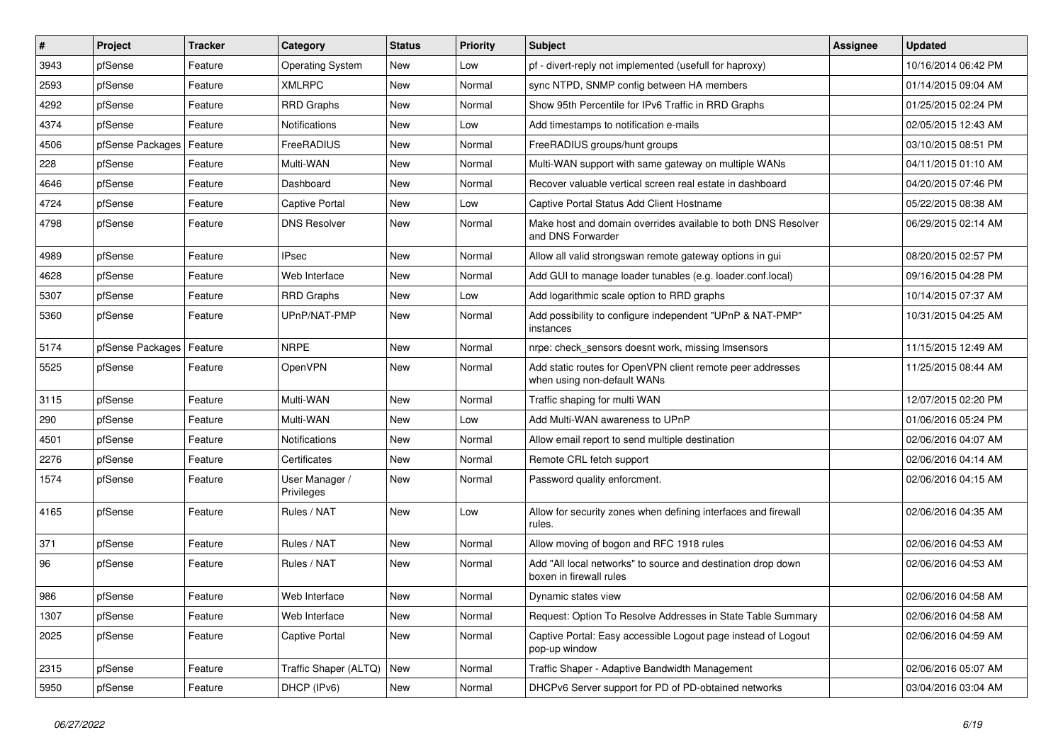| $\vert$ # | Project          | Tracker | Category                     | <b>Status</b> | <b>Priority</b> | <b>Subject</b>                                                                            | <b>Assignee</b> | <b>Updated</b>      |
|-----------|------------------|---------|------------------------------|---------------|-----------------|-------------------------------------------------------------------------------------------|-----------------|---------------------|
| 3943      | pfSense          | Feature | <b>Operating System</b>      | New           | Low             | pf - divert-reply not implemented (usefull for haproxy)                                   |                 | 10/16/2014 06:42 PM |
| 2593      | pfSense          | Feature | <b>XMLRPC</b>                | New           | Normal          | sync NTPD, SNMP config between HA members                                                 |                 | 01/14/2015 09:04 AM |
| 4292      | pfSense          | Feature | <b>RRD Graphs</b>            | New           | Normal          | Show 95th Percentile for IPv6 Traffic in RRD Graphs                                       |                 | 01/25/2015 02:24 PM |
| 4374      | pfSense          | Feature | Notifications                | New           | Low             | Add timestamps to notification e-mails                                                    |                 | 02/05/2015 12:43 AM |
| 4506      | pfSense Packages | Feature | FreeRADIUS                   | New           | Normal          | FreeRADIUS groups/hunt groups                                                             |                 | 03/10/2015 08:51 PM |
| 228       | pfSense          | Feature | Multi-WAN                    | New           | Normal          | Multi-WAN support with same gateway on multiple WANs                                      |                 | 04/11/2015 01:10 AM |
| 4646      | pfSense          | Feature | Dashboard                    | New           | Normal          | Recover valuable vertical screen real estate in dashboard                                 |                 | 04/20/2015 07:46 PM |
| 4724      | pfSense          | Feature | Captive Portal               | New           | Low             | Captive Portal Status Add Client Hostname                                                 |                 | 05/22/2015 08:38 AM |
| 4798      | pfSense          | Feature | <b>DNS Resolver</b>          | New           | Normal          | Make host and domain overrides available to both DNS Resolver<br>and DNS Forwarder        |                 | 06/29/2015 02:14 AM |
| 4989      | pfSense          | Feature | <b>IPsec</b>                 | New           | Normal          | Allow all valid strongswan remote gateway options in gui                                  |                 | 08/20/2015 02:57 PM |
| 4628      | pfSense          | Feature | Web Interface                | New           | Normal          | Add GUI to manage loader tunables (e.g. loader.conf.local)                                |                 | 09/16/2015 04:28 PM |
| 5307      | pfSense          | Feature | <b>RRD Graphs</b>            | New           | Low             | Add logarithmic scale option to RRD graphs                                                |                 | 10/14/2015 07:37 AM |
| 5360      | pfSense          | Feature | UPnP/NAT-PMP                 | New           | Normal          | Add possibility to configure independent "UPnP & NAT-PMP"<br>instances                    |                 | 10/31/2015 04:25 AM |
| 5174      | pfSense Packages | Feature | <b>NRPE</b>                  | New           | Normal          | nrpe: check sensors doesnt work, missing Imsensors                                        |                 | 11/15/2015 12:49 AM |
| 5525      | pfSense          | Feature | OpenVPN                      | New           | Normal          | Add static routes for OpenVPN client remote peer addresses<br>when using non-default WANs |                 | 11/25/2015 08:44 AM |
| 3115      | pfSense          | Feature | Multi-WAN                    | New           | Normal          | Traffic shaping for multi WAN                                                             |                 | 12/07/2015 02:20 PM |
| 290       | pfSense          | Feature | Multi-WAN                    | New           | Low             | Add Multi-WAN awareness to UPnP                                                           |                 | 01/06/2016 05:24 PM |
| 4501      | pfSense          | Feature | Notifications                | New           | Normal          | Allow email report to send multiple destination                                           |                 | 02/06/2016 04:07 AM |
| 2276      | pfSense          | Feature | Certificates                 | New           | Normal          | Remote CRL fetch support                                                                  |                 | 02/06/2016 04:14 AM |
| 1574      | pfSense          | Feature | User Manager /<br>Privileges | New           | Normal          | Password quality enforcment.                                                              |                 | 02/06/2016 04:15 AM |
| 4165      | pfSense          | Feature | Rules / NAT                  | New           | Low             | Allow for security zones when defining interfaces and firewall<br>rules.                  |                 | 02/06/2016 04:35 AM |
| 371       | pfSense          | Feature | Rules / NAT                  | New           | Normal          | Allow moving of bogon and RFC 1918 rules                                                  |                 | 02/06/2016 04:53 AM |
| 96        | pfSense          | Feature | Rules / NAT                  | New           | Normal          | Add "All local networks" to source and destination drop down<br>boxen in firewall rules   |                 | 02/06/2016 04:53 AM |
| 986       | pfSense          | Feature | Web Interface                | New           | Normal          | Dynamic states view                                                                       |                 | 02/06/2016 04:58 AM |
| 1307      | pfSense          | Feature | Web Interface                | New           | Normal          | Request: Option To Resolve Addresses in State Table Summary                               |                 | 02/06/2016 04:58 AM |
| 2025      | pfSense          | Feature | Captive Portal               | New           | Normal          | Captive Portal: Easy accessible Logout page instead of Logout<br>pop-up window            |                 | 02/06/2016 04:59 AM |
| 2315      | pfSense          | Feature | Traffic Shaper (ALTQ)        | New           | Normal          | Traffic Shaper - Adaptive Bandwidth Management                                            |                 | 02/06/2016 05:07 AM |
| 5950      | pfSense          | Feature | DHCP (IPv6)                  | New           | Normal          | DHCPv6 Server support for PD of PD-obtained networks                                      |                 | 03/04/2016 03:04 AM |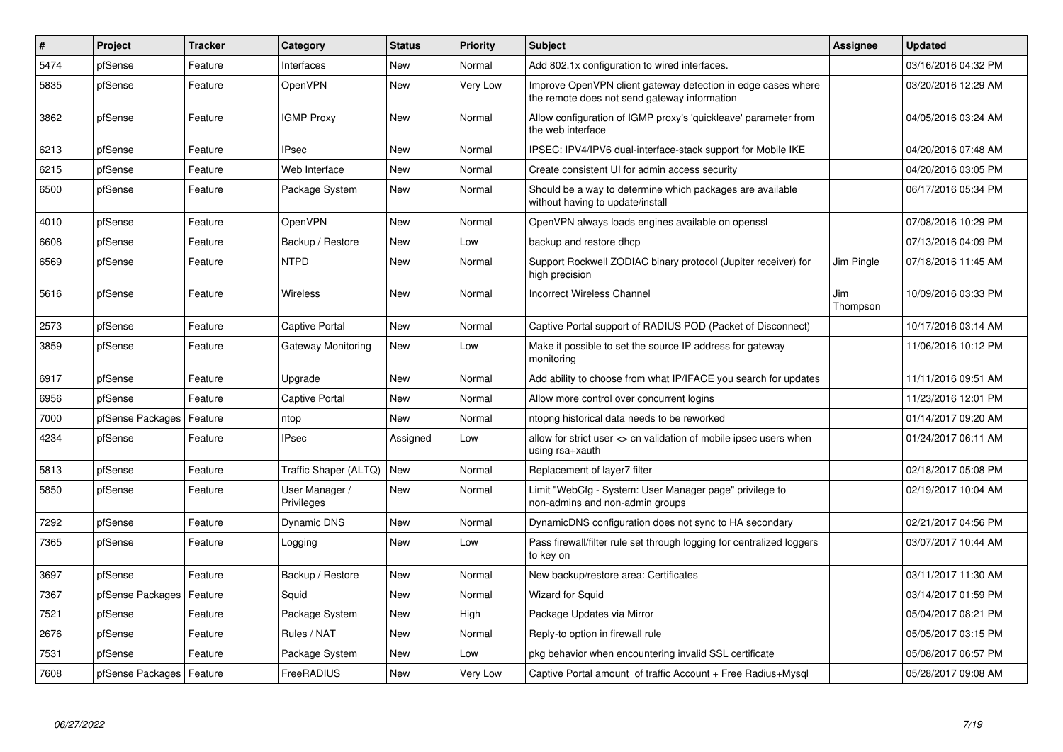| #    | Project                    | <b>Tracker</b> | Category                     | <b>Status</b> | <b>Priority</b> | <b>Subject</b>                                                                                               | <b>Assignee</b> | <b>Updated</b>      |
|------|----------------------------|----------------|------------------------------|---------------|-----------------|--------------------------------------------------------------------------------------------------------------|-----------------|---------------------|
| 5474 | pfSense                    | Feature        | Interfaces                   | New           | Normal          | Add 802.1x configuration to wired interfaces.                                                                |                 | 03/16/2016 04:32 PM |
| 5835 | pfSense                    | Feature        | OpenVPN                      | New           | Very Low        | Improve OpenVPN client gateway detection in edge cases where<br>the remote does not send gateway information |                 | 03/20/2016 12:29 AM |
| 3862 | pfSense                    | Feature        | <b>IGMP Proxy</b>            | <b>New</b>    | Normal          | Allow configuration of IGMP proxy's 'quickleave' parameter from<br>the web interface                         |                 | 04/05/2016 03:24 AM |
| 6213 | pfSense                    | Feature        | <b>IPsec</b>                 | New           | Normal          | IPSEC: IPV4/IPV6 dual-interface-stack support for Mobile IKE                                                 |                 | 04/20/2016 07:48 AM |
| 6215 | pfSense                    | Feature        | Web Interface                | <b>New</b>    | Normal          | Create consistent UI for admin access security                                                               |                 | 04/20/2016 03:05 PM |
| 6500 | pfSense                    | Feature        | Package System               | New           | Normal          | Should be a way to determine which packages are available<br>without having to update/install                |                 | 06/17/2016 05:34 PM |
| 4010 | pfSense                    | Feature        | <b>OpenVPN</b>               | New           | Normal          | OpenVPN always loads engines available on openssl                                                            |                 | 07/08/2016 10:29 PM |
| 6608 | pfSense                    | Feature        | Backup / Restore             | New           | Low             | backup and restore dhcp                                                                                      |                 | 07/13/2016 04:09 PM |
| 6569 | pfSense                    | Feature        | <b>NTPD</b>                  | New           | Normal          | Support Rockwell ZODIAC binary protocol (Jupiter receiver) for<br>high precision                             | Jim Pingle      | 07/18/2016 11:45 AM |
| 5616 | pfSense                    | Feature        | Wireless                     | New           | Normal          | <b>Incorrect Wireless Channel</b>                                                                            | Jim<br>Thompson | 10/09/2016 03:33 PM |
| 2573 | pfSense                    | Feature        | Captive Portal               | New           | Normal          | Captive Portal support of RADIUS POD (Packet of Disconnect)                                                  |                 | 10/17/2016 03:14 AM |
| 3859 | pfSense                    | Feature        | Gateway Monitoring           | New           | Low             | Make it possible to set the source IP address for gateway<br>monitoring                                      |                 | 11/06/2016 10:12 PM |
| 6917 | pfSense                    | Feature        | Upgrade                      | New           | Normal          | Add ability to choose from what IP/IFACE you search for updates                                              |                 | 11/11/2016 09:51 AM |
| 6956 | pfSense                    | Feature        | Captive Portal               | New           | Normal          | Allow more control over concurrent logins                                                                    |                 | 11/23/2016 12:01 PM |
| 7000 | pfSense Packages           | Feature        | ntop                         | <b>New</b>    | Normal          | ntopng historical data needs to be reworked                                                                  |                 | 01/14/2017 09:20 AM |
| 4234 | pfSense                    | Feature        | <b>IPsec</b>                 | Assigned      | Low             | allow for strict user <> cn validation of mobile ipsec users when<br>using rsa+xauth                         |                 | 01/24/2017 06:11 AM |
| 5813 | pfSense                    | Feature        | Traffic Shaper (ALTQ)        | New           | Normal          | Replacement of layer7 filter                                                                                 |                 | 02/18/2017 05:08 PM |
| 5850 | pfSense                    | Feature        | User Manager /<br>Privileges | New           | Normal          | Limit "WebCfg - System: User Manager page" privilege to<br>non-admins and non-admin groups                   |                 | 02/19/2017 10:04 AM |
| 7292 | pfSense                    | Feature        | Dynamic DNS                  | <b>New</b>    | Normal          | DynamicDNS configuration does not sync to HA secondary                                                       |                 | 02/21/2017 04:56 PM |
| 7365 | pfSense                    | Feature        | Logging                      | <b>New</b>    | Low             | Pass firewall/filter rule set through logging for centralized loggers<br>to key on                           |                 | 03/07/2017 10:44 AM |
| 3697 | pfSense                    | Feature        | Backup / Restore             | New           | Normal          | New backup/restore area: Certificates                                                                        |                 | 03/11/2017 11:30 AM |
| 7367 | pfSense Packages           | Feature        | Squid                        | New           | Normal          | Wizard for Squid                                                                                             |                 | 03/14/2017 01:59 PM |
| 7521 | pfSense                    | Feature        | Package System               | New           | High            | Package Updates via Mirror                                                                                   |                 | 05/04/2017 08:21 PM |
| 2676 | pfSense                    | Feature        | Rules / NAT                  | New           | Normal          | Reply-to option in firewall rule                                                                             |                 | 05/05/2017 03:15 PM |
| 7531 | pfSense                    | Feature        | Package System               | New           | Low             | pkg behavior when encountering invalid SSL certificate                                                       |                 | 05/08/2017 06:57 PM |
| 7608 | pfSense Packages   Feature |                | FreeRADIUS                   | New           | Very Low        | Captive Portal amount of traffic Account + Free Radius+Mysql                                                 |                 | 05/28/2017 09:08 AM |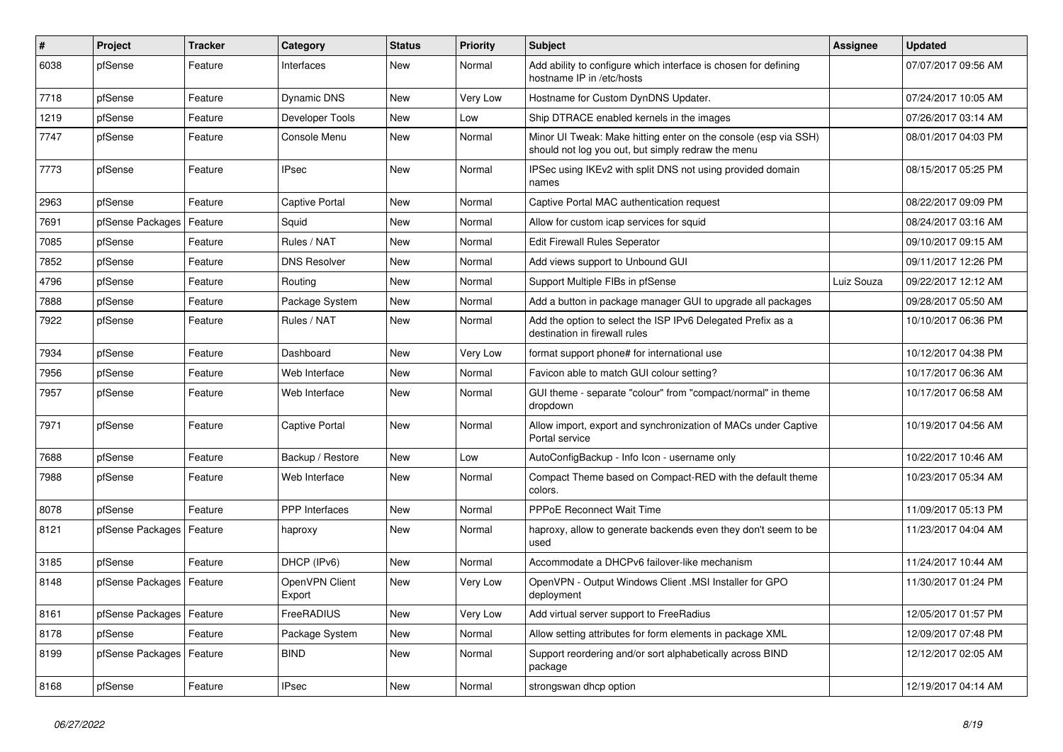| #    | Project                    | Tracker | Category                 | <b>Status</b> | <b>Priority</b> | <b>Subject</b>                                                                                                        | Assignee   | <b>Updated</b>      |
|------|----------------------------|---------|--------------------------|---------------|-----------------|-----------------------------------------------------------------------------------------------------------------------|------------|---------------------|
| 6038 | pfSense                    | Feature | Interfaces               | New           | Normal          | Add ability to configure which interface is chosen for defining<br>hostname IP in /etc/hosts                          |            | 07/07/2017 09:56 AM |
| 7718 | pfSense                    | Feature | Dynamic DNS              | New           | Very Low        | Hostname for Custom DynDNS Updater.                                                                                   |            | 07/24/2017 10:05 AM |
| 1219 | pfSense                    | Feature | Developer Tools          | New           | Low             | Ship DTRACE enabled kernels in the images                                                                             |            | 07/26/2017 03:14 AM |
| 7747 | pfSense                    | Feature | Console Menu             | New           | Normal          | Minor UI Tweak: Make hitting enter on the console (esp via SSH)<br>should not log you out, but simply redraw the menu |            | 08/01/2017 04:03 PM |
| 7773 | pfSense                    | Feature | IPsec                    | New           | Normal          | IPSec using IKEv2 with split DNS not using provided domain<br>names                                                   |            | 08/15/2017 05:25 PM |
| 2963 | pfSense                    | Feature | Captive Portal           | New           | Normal          | Captive Portal MAC authentication request                                                                             |            | 08/22/2017 09:09 PM |
| 7691 | pfSense Packages           | Feature | Squid                    | New           | Normal          | Allow for custom icap services for squid                                                                              |            | 08/24/2017 03:16 AM |
| 7085 | pfSense                    | Feature | Rules / NAT              | New           | Normal          | Edit Firewall Rules Seperator                                                                                         |            | 09/10/2017 09:15 AM |
| 7852 | pfSense                    | Feature | <b>DNS Resolver</b>      | New           | Normal          | Add views support to Unbound GUI                                                                                      |            | 09/11/2017 12:26 PM |
| 4796 | pfSense                    | Feature | Routing                  | New           | Normal          | Support Multiple FIBs in pfSense                                                                                      | Luiz Souza | 09/22/2017 12:12 AM |
| 7888 | pfSense                    | Feature | Package System           | New           | Normal          | Add a button in package manager GUI to upgrade all packages                                                           |            | 09/28/2017 05:50 AM |
| 7922 | pfSense                    | Feature | Rules / NAT              | New           | Normal          | Add the option to select the ISP IPv6 Delegated Prefix as a<br>destination in firewall rules                          |            | 10/10/2017 06:36 PM |
| 7934 | pfSense                    | Feature | Dashboard                | New           | Very Low        | format support phone# for international use                                                                           |            | 10/12/2017 04:38 PM |
| 7956 | pfSense                    | Feature | Web Interface            | New           | Normal          | Favicon able to match GUI colour setting?                                                                             |            | 10/17/2017 06:36 AM |
| 7957 | pfSense                    | Feature | Web Interface            | New           | Normal          | GUI theme - separate "colour" from "compact/normal" in theme<br>dropdown                                              |            | 10/17/2017 06:58 AM |
| 7971 | pfSense                    | Feature | Captive Portal           | New           | Normal          | Allow import, export and synchronization of MACs under Captive<br>Portal service                                      |            | 10/19/2017 04:56 AM |
| 7688 | pfSense                    | Feature | Backup / Restore         | New           | Low             | AutoConfigBackup - Info Icon - username only                                                                          |            | 10/22/2017 10:46 AM |
| 7988 | pfSense                    | Feature | Web Interface            | New           | Normal          | Compact Theme based on Compact-RED with the default theme<br>colors.                                                  |            | 10/23/2017 05:34 AM |
| 8078 | pfSense                    | Feature | PPP Interfaces           | New           | Normal          | <b>PPPoE Reconnect Wait Time</b>                                                                                      |            | 11/09/2017 05:13 PM |
| 8121 | pfSense Packages           | Feature | haproxy                  | New           | Normal          | haproxy, allow to generate backends even they don't seem to be<br>used                                                |            | 11/23/2017 04:04 AM |
| 3185 | pfSense                    | Feature | DHCP (IPv6)              | New           | Normal          | Accommodate a DHCPv6 failover-like mechanism                                                                          |            | 11/24/2017 10:44 AM |
| 8148 | pfSense Packages   Feature |         | OpenVPN Client<br>Export | New           | Very Low        | OpenVPN - Output Windows Client .MSI Installer for GPO<br>deployment                                                  |            | 11/30/2017 01:24 PM |
| 8161 | pfSense Packages   Feature |         | FreeRADIUS               | New           | Very Low        | Add virtual server support to FreeRadius                                                                              |            | 12/05/2017 01:57 PM |
| 8178 | pfSense                    | Feature | Package System           | New           | Normal          | Allow setting attributes for form elements in package XML                                                             |            | 12/09/2017 07:48 PM |
| 8199 | pfSense Packages   Feature |         | <b>BIND</b>              | New           | Normal          | Support reordering and/or sort alphabetically across BIND<br>package                                                  |            | 12/12/2017 02:05 AM |
| 8168 | pfSense                    | Feature | <b>IPsec</b>             | New           | Normal          | strongswan dhcp option                                                                                                |            | 12/19/2017 04:14 AM |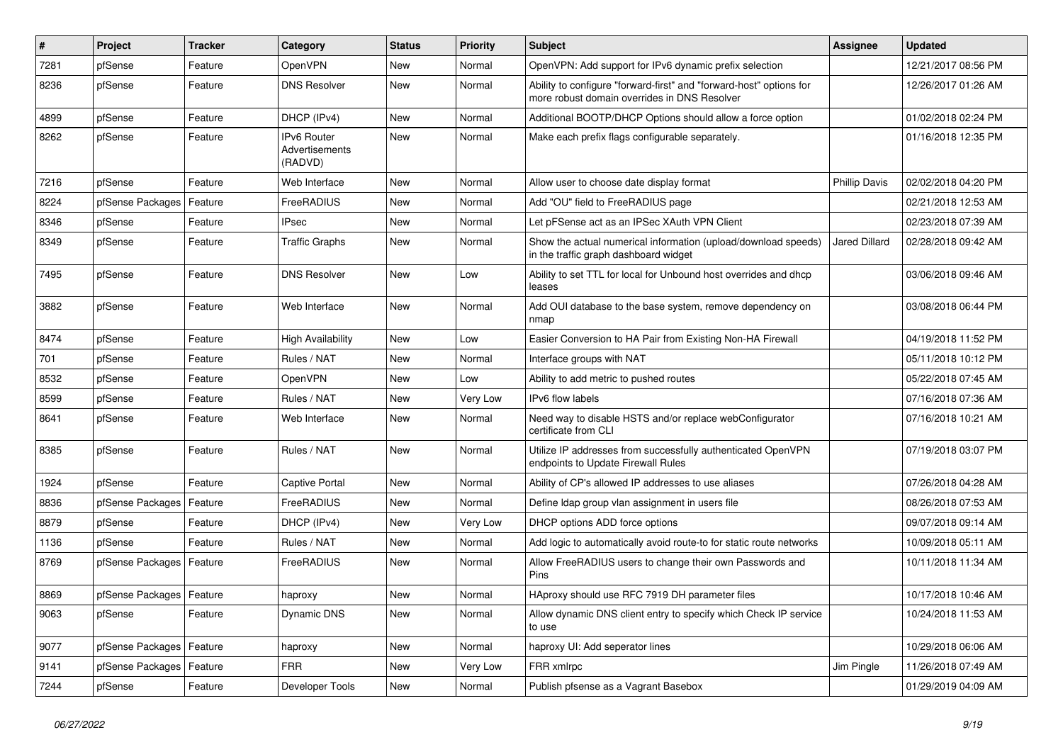| $\sharp$ | Project                    | <b>Tracker</b> | Category                                 | <b>Status</b> | <b>Priority</b> | Subject                                                                                                             | <b>Assignee</b>      | <b>Updated</b>      |
|----------|----------------------------|----------------|------------------------------------------|---------------|-----------------|---------------------------------------------------------------------------------------------------------------------|----------------------|---------------------|
| 7281     | pfSense                    | Feature        | OpenVPN                                  | New           | Normal          | OpenVPN: Add support for IPv6 dynamic prefix selection                                                              |                      | 12/21/2017 08:56 PM |
| 8236     | pfSense                    | Feature        | <b>DNS Resolver</b>                      | New           | Normal          | Ability to configure "forward-first" and "forward-host" options for<br>more robust domain overrides in DNS Resolver |                      | 12/26/2017 01:26 AM |
| 4899     | pfSense                    | Feature        | DHCP (IPv4)                              | New           | Normal          | Additional BOOTP/DHCP Options should allow a force option                                                           |                      | 01/02/2018 02:24 PM |
| 8262     | pfSense                    | Feature        | IPv6 Router<br>Advertisements<br>(RADVD) | New           | Normal          | Make each prefix flags configurable separately.                                                                     |                      | 01/16/2018 12:35 PM |
| 7216     | pfSense                    | Feature        | Web Interface                            | New           | Normal          | Allow user to choose date display format                                                                            | <b>Phillip Davis</b> | 02/02/2018 04:20 PM |
| 8224     | pfSense Packages           | Feature        | FreeRADIUS                               | New           | Normal          | Add "OU" field to FreeRADIUS page                                                                                   |                      | 02/21/2018 12:53 AM |
| 8346     | pfSense                    | Feature        | <b>IPsec</b>                             | New           | Normal          | Let pFSense act as an IPSec XAuth VPN Client                                                                        |                      | 02/23/2018 07:39 AM |
| 8349     | pfSense                    | Feature        | <b>Traffic Graphs</b>                    | New           | Normal          | Show the actual numerical information (upload/download speeds)<br>in the traffic graph dashboard widget             | <b>Jared Dillard</b> | 02/28/2018 09:42 AM |
| 7495     | pfSense                    | Feature        | <b>DNS Resolver</b>                      | <b>New</b>    | Low             | Ability to set TTL for local for Unbound host overrides and dhcp<br>leases                                          |                      | 03/06/2018 09:46 AM |
| 3882     | pfSense                    | Feature        | Web Interface                            | <b>New</b>    | Normal          | Add OUI database to the base system, remove dependency on<br>nmap                                                   |                      | 03/08/2018 06:44 PM |
| 8474     | pfSense                    | Feature        | <b>High Availability</b>                 | New           | Low             | Easier Conversion to HA Pair from Existing Non-HA Firewall                                                          |                      | 04/19/2018 11:52 PM |
| 701      | pfSense                    | Feature        | Rules / NAT                              | New           | Normal          | Interface groups with NAT                                                                                           |                      | 05/11/2018 10:12 PM |
| 8532     | pfSense                    | Feature        | <b>OpenVPN</b>                           | New           | Low             | Ability to add metric to pushed routes                                                                              |                      | 05/22/2018 07:45 AM |
| 8599     | pfSense                    | Feature        | Rules / NAT                              | New           | Very Low        | IPv6 flow labels                                                                                                    |                      | 07/16/2018 07:36 AM |
| 8641     | pfSense                    | Feature        | Web Interface                            | New           | Normal          | Need way to disable HSTS and/or replace webConfigurator<br>certificate from CLI                                     |                      | 07/16/2018 10:21 AM |
| 8385     | pfSense                    | Feature        | Rules / NAT                              | New           | Normal          | Utilize IP addresses from successfully authenticated OpenVPN<br>endpoints to Update Firewall Rules                  |                      | 07/19/2018 03:07 PM |
| 1924     | pfSense                    | Feature        | Captive Portal                           | New           | Normal          | Ability of CP's allowed IP addresses to use aliases                                                                 |                      | 07/26/2018 04:28 AM |
| 8836     | pfSense Packages           | Feature        | FreeRADIUS                               | New           | Normal          | Define Idap group vlan assignment in users file                                                                     |                      | 08/26/2018 07:53 AM |
| 8879     | pfSense                    | Feature        | DHCP (IPv4)                              | New           | Very Low        | DHCP options ADD force options                                                                                      |                      | 09/07/2018 09:14 AM |
| 1136     | pfSense                    | Feature        | Rules / NAT                              | New           | Normal          | Add logic to automatically avoid route-to for static route networks                                                 |                      | 10/09/2018 05:11 AM |
| 8769     | pfSense Packages           | Feature        | FreeRADIUS                               | New           | Normal          | Allow FreeRADIUS users to change their own Passwords and<br>Pins                                                    |                      | 10/11/2018 11:34 AM |
| 8869     | pfSense Packages   Feature |                | haproxy                                  | New           | Normal          | HAproxy should use RFC 7919 DH parameter files                                                                      |                      | 10/17/2018 10:46 AM |
| 9063     | pfSense                    | Feature        | Dynamic DNS                              | New           | Normal          | Allow dynamic DNS client entry to specify which Check IP service<br>to use                                          |                      | 10/24/2018 11:53 AM |
| 9077     | pfSense Packages   Feature |                | haproxy                                  | New           | Normal          | haproxy UI: Add seperator lines                                                                                     |                      | 10/29/2018 06:06 AM |
| 9141     | pfSense Packages           | Feature        | <b>FRR</b>                               | New           | Very Low        | FRR xmlrpc                                                                                                          | Jim Pingle           | 11/26/2018 07:49 AM |
| 7244     | pfSense                    | Feature        | Developer Tools                          | New           | Normal          | Publish pfsense as a Vagrant Basebox                                                                                |                      | 01/29/2019 04:09 AM |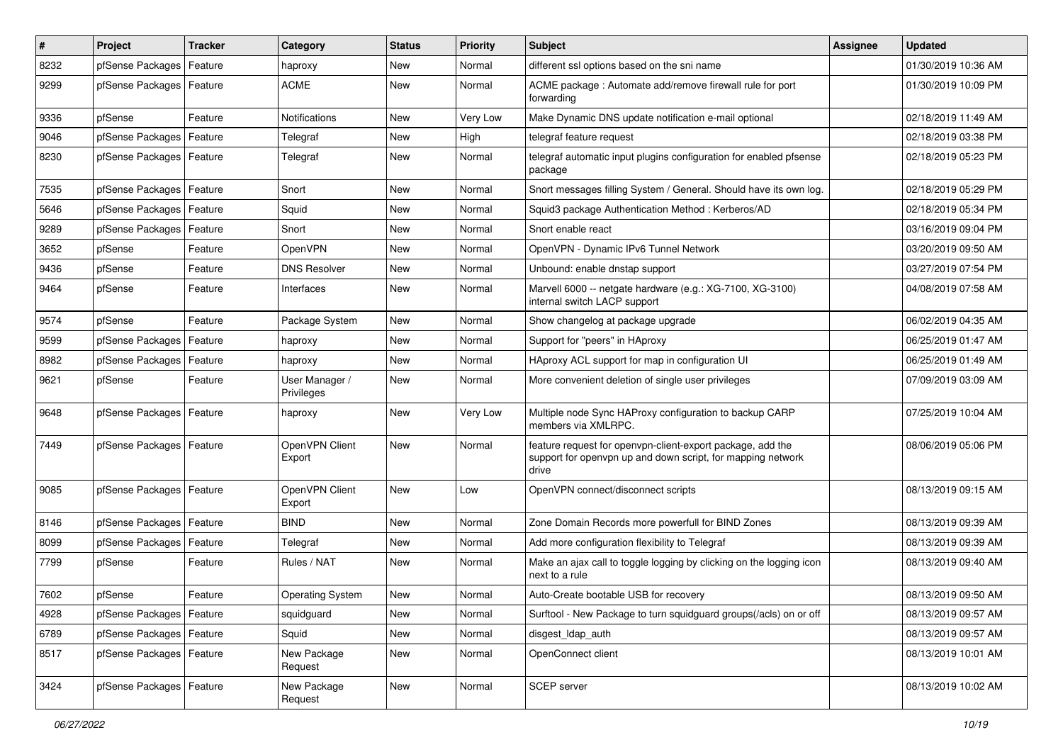| $\pmb{\#}$ | Project                    | <b>Tracker</b> | Category                     | <b>Status</b> | <b>Priority</b> | Subject                                                                                                                            | Assignee | <b>Updated</b>      |
|------------|----------------------------|----------------|------------------------------|---------------|-----------------|------------------------------------------------------------------------------------------------------------------------------------|----------|---------------------|
| 8232       | pfSense Packages           | Feature        | haproxy                      | New           | Normal          | different ssl options based on the sni name                                                                                        |          | 01/30/2019 10:36 AM |
| 9299       | pfSense Packages   Feature |                | <b>ACME</b>                  | <b>New</b>    | Normal          | ACME package: Automate add/remove firewall rule for port<br>forwarding                                                             |          | 01/30/2019 10:09 PM |
| 9336       | pfSense                    | Feature        | Notifications                | <b>New</b>    | Very Low        | Make Dynamic DNS update notification e-mail optional                                                                               |          | 02/18/2019 11:49 AM |
| 9046       | pfSense Packages           | Feature        | Telegraf                     | <b>New</b>    | High            | telegraf feature request                                                                                                           |          | 02/18/2019 03:38 PM |
| 8230       | pfSense Packages           | Feature        | Telegraf                     | <b>New</b>    | Normal          | telegraf automatic input plugins configuration for enabled pfsense<br>package                                                      |          | 02/18/2019 05:23 PM |
| 7535       | pfSense Packages           | Feature        | Snort                        | <b>New</b>    | Normal          | Snort messages filling System / General. Should have its own log.                                                                  |          | 02/18/2019 05:29 PM |
| 5646       | pfSense Packages           | Feature        | Squid                        | New           | Normal          | Squid3 package Authentication Method: Kerberos/AD                                                                                  |          | 02/18/2019 05:34 PM |
| 9289       | pfSense Packages           | Feature        | Snort                        | <b>New</b>    | Normal          | Snort enable react                                                                                                                 |          | 03/16/2019 09:04 PM |
| 3652       | pfSense                    | Feature        | OpenVPN                      | <b>New</b>    | Normal          | OpenVPN - Dynamic IPv6 Tunnel Network                                                                                              |          | 03/20/2019 09:50 AM |
| 9436       | pfSense                    | Feature        | <b>DNS Resolver</b>          | <b>New</b>    | Normal          | Unbound: enable dnstap support                                                                                                     |          | 03/27/2019 07:54 PM |
| 9464       | pfSense                    | Feature        | Interfaces                   | <b>New</b>    | Normal          | Marvell 6000 -- netgate hardware (e.g.: XG-7100, XG-3100)<br>internal switch LACP support                                          |          | 04/08/2019 07:58 AM |
| 9574       | pfSense                    | Feature        | Package System               | <b>New</b>    | Normal          | Show changelog at package upgrade                                                                                                  |          | 06/02/2019 04:35 AM |
| 9599       | pfSense Packages           | Feature        | haproxy                      | <b>New</b>    | Normal          | Support for "peers" in HAproxy                                                                                                     |          | 06/25/2019 01:47 AM |
| 8982       | pfSense Packages           | Feature        | haproxy                      | New           | Normal          | HAproxy ACL support for map in configuration UI                                                                                    |          | 06/25/2019 01:49 AM |
| 9621       | pfSense                    | Feature        | User Manager /<br>Privileges | <b>New</b>    | Normal          | More convenient deletion of single user privileges                                                                                 |          | 07/09/2019 03:09 AM |
| 9648       | pfSense Packages           | Feature        | haproxy                      | <b>New</b>    | Very Low        | Multiple node Sync HAProxy configuration to backup CARP<br>members via XMLRPC.                                                     |          | 07/25/2019 10:04 AM |
| 7449       | pfSense Packages   Feature |                | OpenVPN Client<br>Export     | <b>New</b>    | Normal          | feature request for openvpn-client-export package, add the<br>support for openypn up and down script, for mapping network<br>drive |          | 08/06/2019 05:06 PM |
| 9085       | pfSense Packages           | Feature        | OpenVPN Client<br>Export     | <b>New</b>    | Low             | OpenVPN connect/disconnect scripts                                                                                                 |          | 08/13/2019 09:15 AM |
| 8146       | pfSense Packages           | Feature        | <b>BIND</b>                  | <b>New</b>    | Normal          | Zone Domain Records more powerfull for BIND Zones                                                                                  |          | 08/13/2019 09:39 AM |
| 8099       | pfSense Packages           | Feature        | Telegraf                     | <b>New</b>    | Normal          | Add more configuration flexibility to Telegraf                                                                                     |          | 08/13/2019 09:39 AM |
| 7799       | pfSense                    | Feature        | Rules / NAT                  | <b>New</b>    | Normal          | Make an ajax call to toggle logging by clicking on the logging icon<br>next to a rule                                              |          | 08/13/2019 09:40 AM |
| 7602       | pfSense                    | Feature        | <b>Operating System</b>      | <b>New</b>    | Normal          | Auto-Create bootable USB for recovery                                                                                              |          | 08/13/2019 09:50 AM |
| 4928       | pfSense Packages   Feature |                | squidguard                   | New           | Normal          | Surftool - New Package to turn squidguard groups(/acls) on or off                                                                  |          | 08/13/2019 09:57 AM |
| 6789       | pfSense Packages           | Feature        | Squid                        | New           | Normal          | disgest_ldap_auth                                                                                                                  |          | 08/13/2019 09:57 AM |
| 8517       | pfSense Packages   Feature |                | New Package<br>Request       | New           | Normal          | OpenConnect client                                                                                                                 |          | 08/13/2019 10:01 AM |
| 3424       | pfSense Packages           | Feature        | New Package<br>Request       | New           | Normal          | SCEP server                                                                                                                        |          | 08/13/2019 10:02 AM |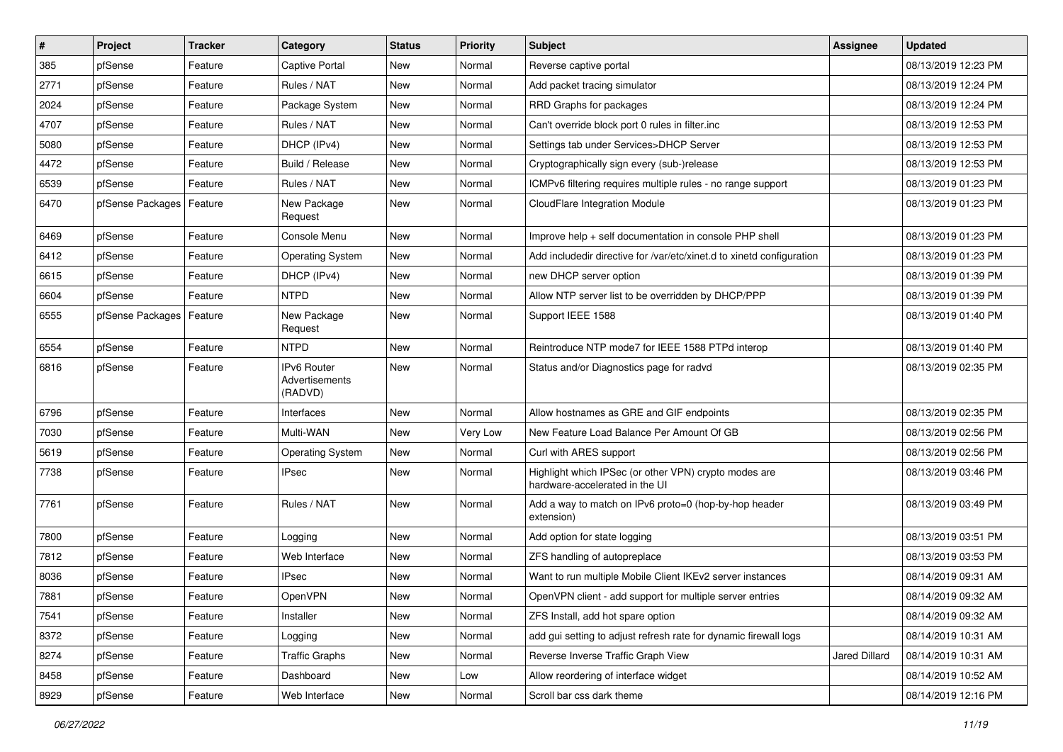| $\pmb{\#}$ | Project          | <b>Tracker</b> | Category                                        | <b>Status</b> | <b>Priority</b> | Subject                                                                                 | Assignee             | <b>Updated</b>      |
|------------|------------------|----------------|-------------------------------------------------|---------------|-----------------|-----------------------------------------------------------------------------------------|----------------------|---------------------|
| 385        | pfSense          | Feature        | Captive Portal                                  | New           | Normal          | Reverse captive portal                                                                  |                      | 08/13/2019 12:23 PM |
| 2771       | pfSense          | Feature        | Rules / NAT                                     | <b>New</b>    | Normal          | Add packet tracing simulator                                                            |                      | 08/13/2019 12:24 PM |
| 2024       | pfSense          | Feature        | Package System                                  | New           | Normal          | RRD Graphs for packages                                                                 |                      | 08/13/2019 12:24 PM |
| 4707       | pfSense          | Feature        | Rules / NAT                                     | <b>New</b>    | Normal          | Can't override block port 0 rules in filter.inc                                         |                      | 08/13/2019 12:53 PM |
| 5080       | pfSense          | Feature        | DHCP (IPv4)                                     | <b>New</b>    | Normal          | Settings tab under Services>DHCP Server                                                 |                      | 08/13/2019 12:53 PM |
| 4472       | pfSense          | Feature        | Build / Release                                 | New           | Normal          | Cryptographically sign every (sub-)release                                              |                      | 08/13/2019 12:53 PM |
| 6539       | pfSense          | Feature        | Rules / NAT                                     | <b>New</b>    | Normal          | ICMPv6 filtering requires multiple rules - no range support                             |                      | 08/13/2019 01:23 PM |
| 6470       | pfSense Packages | Feature        | New Package<br>Request                          | New           | Normal          | CloudFlare Integration Module                                                           |                      | 08/13/2019 01:23 PM |
| 6469       | pfSense          | Feature        | Console Menu                                    | <b>New</b>    | Normal          | Improve help + self documentation in console PHP shell                                  |                      | 08/13/2019 01:23 PM |
| 6412       | pfSense          | Feature        | <b>Operating System</b>                         | New           | Normal          | Add includedir directive for /var/etc/xinet.d to xinetd configuration                   |                      | 08/13/2019 01:23 PM |
| 6615       | pfSense          | Feature        | DHCP (IPv4)                                     | <b>New</b>    | Normal          | new DHCP server option                                                                  |                      | 08/13/2019 01:39 PM |
| 6604       | pfSense          | Feature        | <b>NTPD</b>                                     | <b>New</b>    | Normal          | Allow NTP server list to be overridden by DHCP/PPP                                      |                      | 08/13/2019 01:39 PM |
| 6555       | pfSense Packages | Feature        | New Package<br>Request                          | New           | Normal          | Support IEEE 1588                                                                       |                      | 08/13/2019 01:40 PM |
| 6554       | pfSense          | Feature        | <b>NTPD</b>                                     | <b>New</b>    | Normal          | Reintroduce NTP mode7 for IEEE 1588 PTPd interop                                        |                      | 08/13/2019 01:40 PM |
| 6816       | pfSense          | Feature        | <b>IPv6 Router</b><br>Advertisements<br>(RADVD) | <b>New</b>    | Normal          | Status and/or Diagnostics page for radvd                                                |                      | 08/13/2019 02:35 PM |
| 6796       | pfSense          | Feature        | Interfaces                                      | <b>New</b>    | Normal          | Allow hostnames as GRE and GIF endpoints                                                |                      | 08/13/2019 02:35 PM |
| 7030       | pfSense          | Feature        | Multi-WAN                                       | <b>New</b>    | Very Low        | New Feature Load Balance Per Amount Of GB                                               |                      | 08/13/2019 02:56 PM |
| 5619       | pfSense          | Feature        | <b>Operating System</b>                         | New           | Normal          | Curl with ARES support                                                                  |                      | 08/13/2019 02:56 PM |
| 7738       | pfSense          | Feature        | <b>IPsec</b>                                    | <b>New</b>    | Normal          | Highlight which IPSec (or other VPN) crypto modes are<br>hardware-accelerated in the UI |                      | 08/13/2019 03:46 PM |
| 7761       | pfSense          | Feature        | Rules / NAT                                     | New           | Normal          | Add a way to match on IPv6 proto=0 (hop-by-hop header<br>extension)                     |                      | 08/13/2019 03:49 PM |
| 7800       | pfSense          | Feature        | Logging                                         | New           | Normal          | Add option for state logging                                                            |                      | 08/13/2019 03:51 PM |
| 7812       | pfSense          | Feature        | Web Interface                                   | <b>New</b>    | Normal          | ZFS handling of autopreplace                                                            |                      | 08/13/2019 03:53 PM |
| 8036       | pfSense          | Feature        | <b>IPsec</b>                                    | <b>New</b>    | Normal          | Want to run multiple Mobile Client IKEv2 server instances                               |                      | 08/14/2019 09:31 AM |
| 7881       | pfSense          | Feature        | OpenVPN                                         | New           | Normal          | OpenVPN client - add support for multiple server entries                                |                      | 08/14/2019 09:32 AM |
| 7541       | pfSense          | Feature        | Installer                                       | New           | Normal          | ZFS Install, add hot spare option                                                       |                      | 08/14/2019 09:32 AM |
| 8372       | pfSense          | Feature        | Logging                                         | New           | Normal          | add gui setting to adjust refresh rate for dynamic firewall logs                        |                      | 08/14/2019 10:31 AM |
| 8274       | pfSense          | Feature        | <b>Traffic Graphs</b>                           | New           | Normal          | Reverse Inverse Traffic Graph View                                                      | <b>Jared Dillard</b> | 08/14/2019 10:31 AM |
| 8458       | pfSense          | Feature        | Dashboard                                       | New           | Low             | Allow reordering of interface widget                                                    |                      | 08/14/2019 10:52 AM |
| 8929       | pfSense          | Feature        | Web Interface                                   | New           | Normal          | Scroll bar css dark theme                                                               |                      | 08/14/2019 12:16 PM |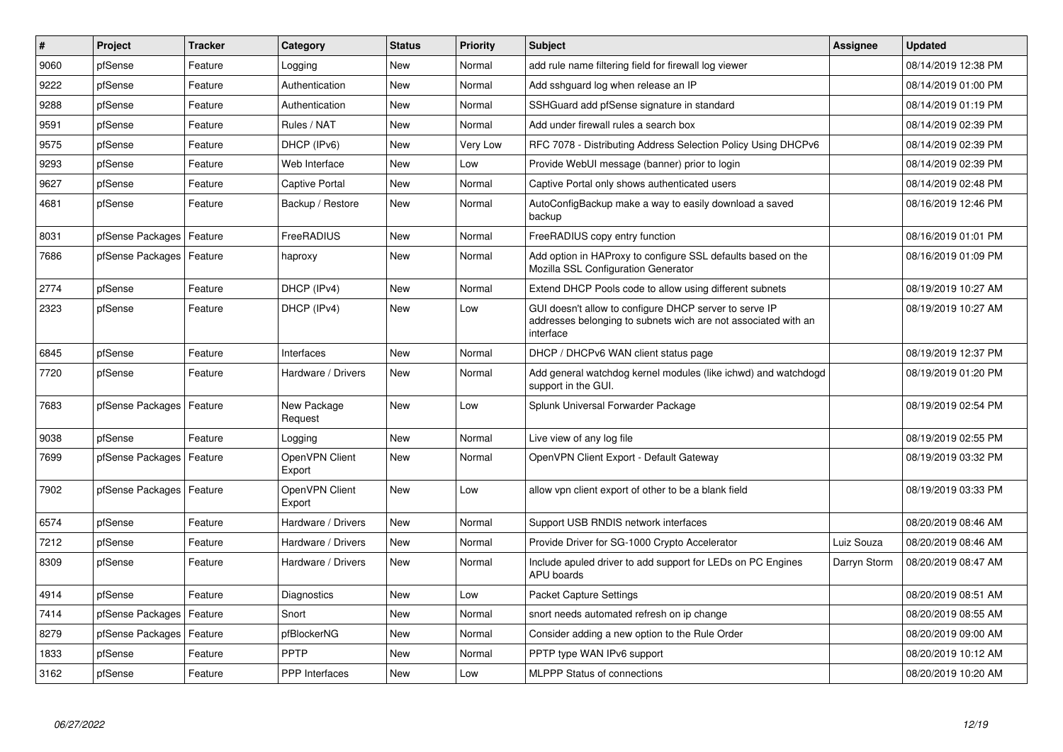| #    | <b>Project</b>             | <b>Tracker</b> | Category                 | <b>Status</b> | <b>Priority</b> | <b>Subject</b>                                                                                                                        | <b>Assignee</b> | <b>Updated</b>      |
|------|----------------------------|----------------|--------------------------|---------------|-----------------|---------------------------------------------------------------------------------------------------------------------------------------|-----------------|---------------------|
| 9060 | pfSense                    | Feature        | Logging                  | <b>New</b>    | Normal          | add rule name filtering field for firewall log viewer                                                                                 |                 | 08/14/2019 12:38 PM |
| 9222 | pfSense                    | Feature        | Authentication           | <b>New</b>    | Normal          | Add sshguard log when release an IP                                                                                                   |                 | 08/14/2019 01:00 PM |
| 9288 | pfSense                    | Feature        | Authentication           | <b>New</b>    | Normal          | SSHGuard add pfSense signature in standard                                                                                            |                 | 08/14/2019 01:19 PM |
| 9591 | pfSense                    | Feature        | Rules / NAT              | <b>New</b>    | Normal          | Add under firewall rules a search box                                                                                                 |                 | 08/14/2019 02:39 PM |
| 9575 | pfSense                    | Feature        | DHCP (IPv6)              | <b>New</b>    | Very Low        | RFC 7078 - Distributing Address Selection Policy Using DHCPv6                                                                         |                 | 08/14/2019 02:39 PM |
| 9293 | pfSense                    | Feature        | Web Interface            | <b>New</b>    | Low             | Provide WebUI message (banner) prior to login                                                                                         |                 | 08/14/2019 02:39 PM |
| 9627 | pfSense                    | Feature        | Captive Portal           | <b>New</b>    | Normal          | Captive Portal only shows authenticated users                                                                                         |                 | 08/14/2019 02:48 PM |
| 4681 | pfSense                    | Feature        | Backup / Restore         | <b>New</b>    | Normal          | AutoConfigBackup make a way to easily download a saved<br>backup                                                                      |                 | 08/16/2019 12:46 PM |
| 8031 | pfSense Packages           | Feature        | FreeRADIUS               | <b>New</b>    | Normal          | FreeRADIUS copy entry function                                                                                                        |                 | 08/16/2019 01:01 PM |
| 7686 | pfSense Packages           | Feature        | haproxy                  | <b>New</b>    | Normal          | Add option in HAProxy to configure SSL defaults based on the<br>Mozilla SSL Configuration Generator                                   |                 | 08/16/2019 01:09 PM |
| 2774 | pfSense                    | Feature        | DHCP (IPv4)              | New           | Normal          | Extend DHCP Pools code to allow using different subnets                                                                               |                 | 08/19/2019 10:27 AM |
| 2323 | pfSense                    | Feature        | DHCP (IPv4)              | <b>New</b>    | Low             | GUI doesn't allow to configure DHCP server to serve IP<br>addresses belonging to subnets wich are not associated with an<br>interface |                 | 08/19/2019 10:27 AM |
| 6845 | pfSense                    | Feature        | Interfaces               | <b>New</b>    | Normal          | DHCP / DHCPv6 WAN client status page                                                                                                  |                 | 08/19/2019 12:37 PM |
| 7720 | pfSense                    | Feature        | Hardware / Drivers       | <b>New</b>    | Normal          | Add general watchdog kernel modules (like ichwd) and watchdogd<br>support in the GUI.                                                 |                 | 08/19/2019 01:20 PM |
| 7683 | pfSense Packages   Feature |                | New Package<br>Request   | <b>New</b>    | Low             | Splunk Universal Forwarder Package                                                                                                    |                 | 08/19/2019 02:54 PM |
| 9038 | pfSense                    | Feature        | Logging                  | New           | Normal          | Live view of any log file                                                                                                             |                 | 08/19/2019 02:55 PM |
| 7699 | pfSense Packages   Feature |                | OpenVPN Client<br>Export | <b>New</b>    | Normal          | OpenVPN Client Export - Default Gateway                                                                                               |                 | 08/19/2019 03:32 PM |
| 7902 | pfSense Packages   Feature |                | OpenVPN Client<br>Export | <b>New</b>    | Low             | allow vpn client export of other to be a blank field                                                                                  |                 | 08/19/2019 03:33 PM |
| 6574 | pfSense                    | Feature        | Hardware / Drivers       | <b>New</b>    | Normal          | Support USB RNDIS network interfaces                                                                                                  |                 | 08/20/2019 08:46 AM |
| 7212 | pfSense                    | Feature        | Hardware / Drivers       | <b>New</b>    | Normal          | Provide Driver for SG-1000 Crypto Accelerator                                                                                         | Luiz Souza      | 08/20/2019 08:46 AM |
| 8309 | pfSense                    | Feature        | Hardware / Drivers       | <b>New</b>    | Normal          | Include apuled driver to add support for LEDs on PC Engines<br>APU boards                                                             | Darryn Storm    | 08/20/2019 08:47 AM |
| 4914 | pfSense                    | Feature        | Diagnostics              | New           | Low             | <b>Packet Capture Settings</b>                                                                                                        |                 | 08/20/2019 08:51 AM |
| 7414 | pfSense Packages           | l Feature      | Snort                    | <b>New</b>    | Normal          | snort needs automated refresh on ip change                                                                                            |                 | 08/20/2019 08:55 AM |
| 8279 | pfSense Packages           | Feature        | pfBlockerNG              | <b>New</b>    | Normal          | Consider adding a new option to the Rule Order                                                                                        |                 | 08/20/2019 09:00 AM |
| 1833 | pfSense                    | Feature        | <b>PPTP</b>              | <b>New</b>    | Normal          | PPTP type WAN IPv6 support                                                                                                            |                 | 08/20/2019 10:12 AM |
| 3162 | pfSense                    | Feature        | <b>PPP</b> Interfaces    | <b>New</b>    | Low             | <b>MLPPP Status of connections</b>                                                                                                    |                 | 08/20/2019 10:20 AM |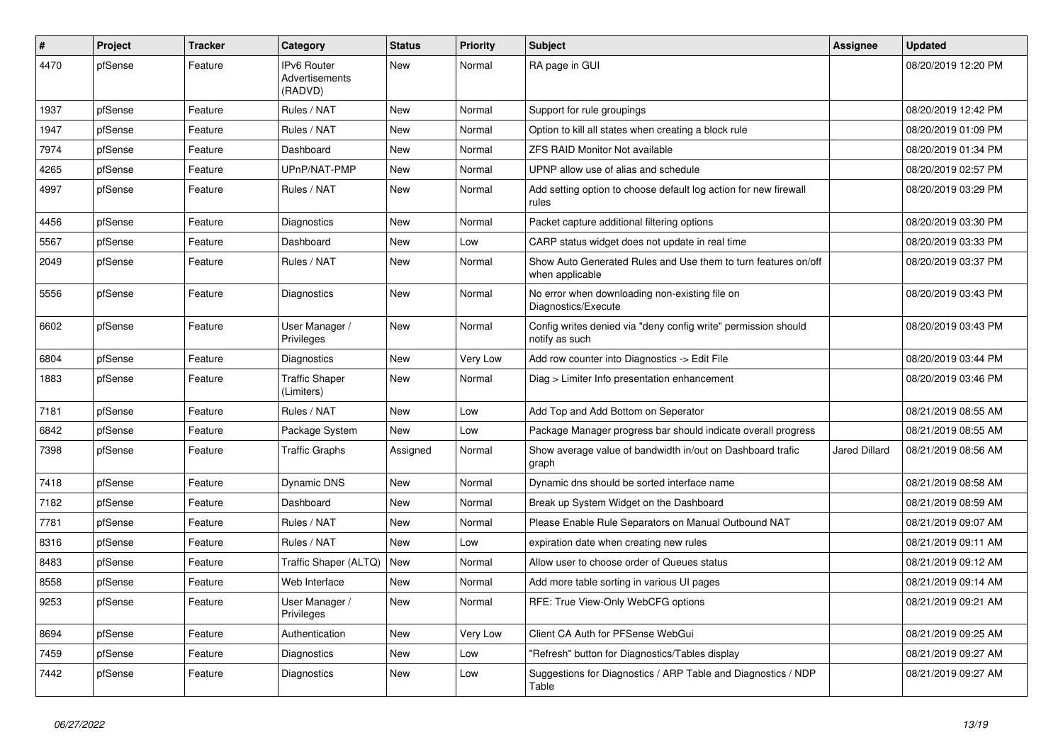| #    | Project | <b>Tracker</b> | Category                                               | <b>Status</b> | <b>Priority</b> | <b>Subject</b>                                                                    | Assignee      | <b>Updated</b>      |
|------|---------|----------------|--------------------------------------------------------|---------------|-----------------|-----------------------------------------------------------------------------------|---------------|---------------------|
| 4470 | pfSense | Feature        | <b>IPv6 Router</b><br><b>Advertisements</b><br>(RADVD) | New           | Normal          | RA page in GUI                                                                    |               | 08/20/2019 12:20 PM |
| 1937 | pfSense | Feature        | Rules / NAT                                            | New           | Normal          | Support for rule groupings                                                        |               | 08/20/2019 12:42 PM |
| 1947 | pfSense | Feature        | Rules / NAT                                            | New           | Normal          | Option to kill all states when creating a block rule                              |               | 08/20/2019 01:09 PM |
| 7974 | pfSense | Feature        | Dashboard                                              | New           | Normal          | <b>ZFS RAID Monitor Not available</b>                                             |               | 08/20/2019 01:34 PM |
| 4265 | pfSense | Feature        | UPnP/NAT-PMP                                           | New           | Normal          | UPNP allow use of alias and schedule                                              |               | 08/20/2019 02:57 PM |
| 4997 | pfSense | Feature        | Rules / NAT                                            | <b>New</b>    | Normal          | Add setting option to choose default log action for new firewall<br>rules         |               | 08/20/2019 03:29 PM |
| 4456 | pfSense | Feature        | Diagnostics                                            | New           | Normal          | Packet capture additional filtering options                                       |               | 08/20/2019 03:30 PM |
| 5567 | pfSense | Feature        | Dashboard                                              | New           | Low             | CARP status widget does not update in real time                                   |               | 08/20/2019 03:33 PM |
| 2049 | pfSense | Feature        | Rules / NAT                                            | New           | Normal          | Show Auto Generated Rules and Use them to turn features on/off<br>when applicable |               | 08/20/2019 03:37 PM |
| 5556 | pfSense | Feature        | Diagnostics                                            | <b>New</b>    | Normal          | No error when downloading non-existing file on<br>Diagnostics/Execute             |               | 08/20/2019 03:43 PM |
| 6602 | pfSense | Feature        | User Manager /<br>Privileges                           | New           | Normal          | Config writes denied via "deny config write" permission should<br>notify as such  |               | 08/20/2019 03:43 PM |
| 6804 | pfSense | Feature        | Diagnostics                                            | New           | Very Low        | Add row counter into Diagnostics -> Edit File                                     |               | 08/20/2019 03:44 PM |
| 1883 | pfSense | Feature        | <b>Traffic Shaper</b><br>(Limiters)                    | New           | Normal          | Diag > Limiter Info presentation enhancement                                      |               | 08/20/2019 03:46 PM |
| 7181 | pfSense | Feature        | Rules / NAT                                            | New           | Low             | Add Top and Add Bottom on Seperator                                               |               | 08/21/2019 08:55 AM |
| 6842 | pfSense | Feature        | Package System                                         | New           | Low             | Package Manager progress bar should indicate overall progress                     |               | 08/21/2019 08:55 AM |
| 7398 | pfSense | Feature        | <b>Traffic Graphs</b>                                  | Assigned      | Normal          | Show average value of bandwidth in/out on Dashboard trafic<br>graph               | Jared Dillard | 08/21/2019 08:56 AM |
| 7418 | pfSense | Feature        | Dynamic DNS                                            | New           | Normal          | Dynamic dns should be sorted interface name                                       |               | 08/21/2019 08:58 AM |
| 7182 | pfSense | Feature        | Dashboard                                              | New           | Normal          | Break up System Widget on the Dashboard                                           |               | 08/21/2019 08:59 AM |
| 7781 | pfSense | Feature        | Rules / NAT                                            | New           | Normal          | Please Enable Rule Separators on Manual Outbound NAT                              |               | 08/21/2019 09:07 AM |
| 8316 | pfSense | Feature        | Rules / NAT                                            | <b>New</b>    | Low             | expiration date when creating new rules                                           |               | 08/21/2019 09:11 AM |
| 8483 | pfSense | Feature        | Traffic Shaper (ALTQ)                                  | <b>New</b>    | Normal          | Allow user to choose order of Queues status                                       |               | 08/21/2019 09:12 AM |
| 8558 | pfSense | Feature        | Web Interface                                          | New           | Normal          | Add more table sorting in various UI pages                                        |               | 08/21/2019 09:14 AM |
| 9253 | pfSense | Feature        | User Manager /<br>Privileges                           | New           | Normal          | RFE: True View-Only WebCFG options                                                |               | 08/21/2019 09:21 AM |
| 8694 | pfSense | Feature        | Authentication                                         | New           | Very Low        | Client CA Auth for PFSense WebGui                                                 |               | 08/21/2019 09:25 AM |
| 7459 | pfSense | Feature        | Diagnostics                                            | New           | Low             | 'Refresh" button for Diagnostics/Tables display                                   |               | 08/21/2019 09:27 AM |
| 7442 | pfSense | Feature        | Diagnostics                                            | New           | Low             | Suggestions for Diagnostics / ARP Table and Diagnostics / NDP<br>Table            |               | 08/21/2019 09:27 AM |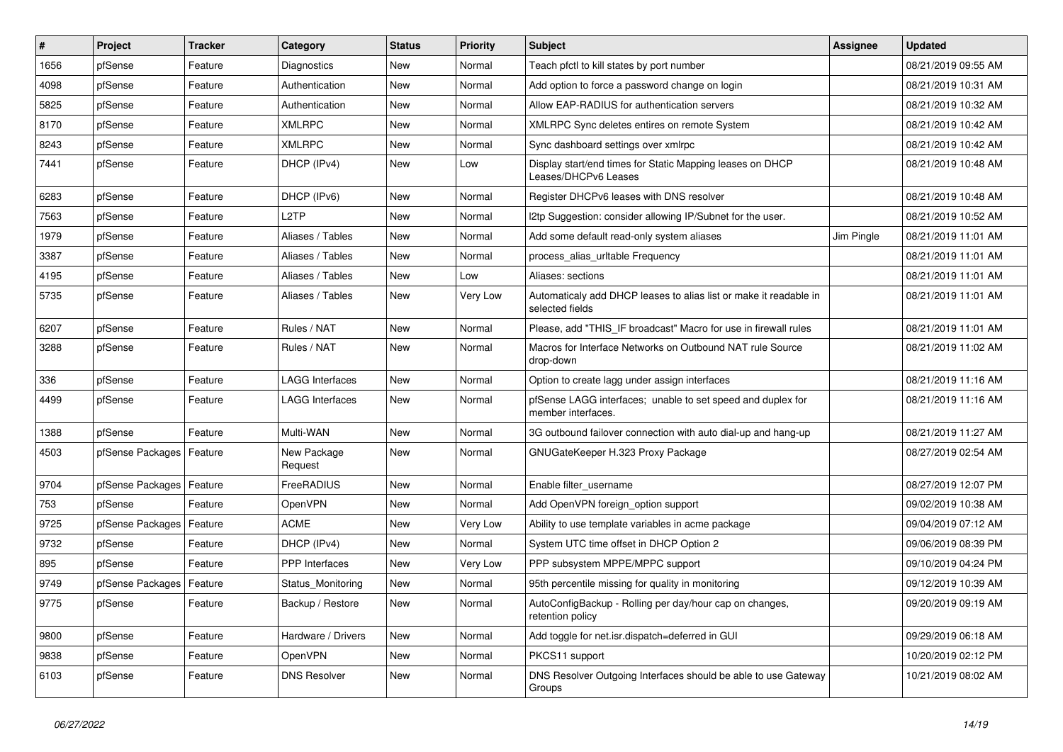| $\vert$ # | Project          | <b>Tracker</b> | Category               | <b>Status</b> | <b>Priority</b> | <b>Subject</b>                                                                       | Assignee   | <b>Updated</b>      |
|-----------|------------------|----------------|------------------------|---------------|-----------------|--------------------------------------------------------------------------------------|------------|---------------------|
| 1656      | pfSense          | Feature        | Diagnostics            | New           | Normal          | Teach pfctl to kill states by port number                                            |            | 08/21/2019 09:55 AM |
| 4098      | pfSense          | Feature        | Authentication         | New           | Normal          | Add option to force a password change on login                                       |            | 08/21/2019 10:31 AM |
| 5825      | pfSense          | Feature        | Authentication         | New           | Normal          | Allow EAP-RADIUS for authentication servers                                          |            | 08/21/2019 10:32 AM |
| 8170      | pfSense          | Feature        | <b>XMLRPC</b>          | New           | Normal          | XMLRPC Sync deletes entires on remote System                                         |            | 08/21/2019 10:42 AM |
| 8243      | pfSense          | Feature        | <b>XMLRPC</b>          | New           | Normal          | Sync dashboard settings over xmlrpc                                                  |            | 08/21/2019 10:42 AM |
| 7441      | pfSense          | Feature        | DHCP (IPv4)            | New           | Low             | Display start/end times for Static Mapping leases on DHCP<br>Leases/DHCPv6 Leases    |            | 08/21/2019 10:48 AM |
| 6283      | pfSense          | Feature        | DHCP (IPv6)            | New           | Normal          | Register DHCPv6 leases with DNS resolver                                             |            | 08/21/2019 10:48 AM |
| 7563      | pfSense          | Feature        | L2TP                   | New           | Normal          | I2tp Suggestion: consider allowing IP/Subnet for the user.                           |            | 08/21/2019 10:52 AM |
| 1979      | pfSense          | Feature        | Aliases / Tables       | <b>New</b>    | Normal          | Add some default read-only system aliases                                            | Jim Pingle | 08/21/2019 11:01 AM |
| 3387      | pfSense          | Feature        | Aliases / Tables       | New           | Normal          | process alias urltable Frequency                                                     |            | 08/21/2019 11:01 AM |
| 4195      | pfSense          | Feature        | Aliases / Tables       | New           | Low             | Aliases: sections                                                                    |            | 08/21/2019 11:01 AM |
| 5735      | pfSense          | Feature        | Aliases / Tables       | New           | Very Low        | Automaticaly add DHCP leases to alias list or make it readable in<br>selected fields |            | 08/21/2019 11:01 AM |
| 6207      | pfSense          | Feature        | Rules / NAT            | New           | Normal          | Please, add "THIS IF broadcast" Macro for use in firewall rules                      |            | 08/21/2019 11:01 AM |
| 3288      | pfSense          | Feature        | Rules / NAT            | <b>New</b>    | Normal          | Macros for Interface Networks on Outbound NAT rule Source<br>drop-down               |            | 08/21/2019 11:02 AM |
| 336       | pfSense          | Feature        | LAGG Interfaces        | <b>New</b>    | Normal          | Option to create lagg under assign interfaces                                        |            | 08/21/2019 11:16 AM |
| 4499      | pfSense          | Feature        | <b>LAGG Interfaces</b> | New           | Normal          | pfSense LAGG interfaces; unable to set speed and duplex for<br>member interfaces.    |            | 08/21/2019 11:16 AM |
| 1388      | pfSense          | Feature        | Multi-WAN              | New           | Normal          | 3G outbound failover connection with auto dial-up and hang-up                        |            | 08/21/2019 11:27 AM |
| 4503      | pfSense Packages | Feature        | New Package<br>Request | New           | Normal          | GNUGateKeeper H.323 Proxy Package                                                    |            | 08/27/2019 02:54 AM |
| 9704      | pfSense Packages | Feature        | FreeRADIUS             | New           | Normal          | Enable filter_username                                                               |            | 08/27/2019 12:07 PM |
| 753       | pfSense          | Feature        | <b>OpenVPN</b>         | New           | Normal          | Add OpenVPN foreign_option support                                                   |            | 09/02/2019 10:38 AM |
| 9725      | pfSense Packages | Feature        | <b>ACME</b>            | New           | Very Low        | Ability to use template variables in acme package                                    |            | 09/04/2019 07:12 AM |
| 9732      | pfSense          | Feature        | DHCP (IPv4)            | New           | Normal          | System UTC time offset in DHCP Option 2                                              |            | 09/06/2019 08:39 PM |
| 895       | pfSense          | Feature        | <b>PPP</b> Interfaces  | New           | Very Low        | PPP subsystem MPPE/MPPC support                                                      |            | 09/10/2019 04:24 PM |
| 9749      | pfSense Packages | Feature        | Status Monitoring      | New           | Normal          | 95th percentile missing for quality in monitoring                                    |            | 09/12/2019 10:39 AM |
| 9775      | pfSense          | Feature        | Backup / Restore       | New           | Normal          | AutoConfigBackup - Rolling per day/hour cap on changes,<br>retention policy          |            | 09/20/2019 09:19 AM |
| 9800      | pfSense          | Feature        | Hardware / Drivers     | New           | Normal          | Add toggle for net.isr.dispatch=deferred in GUI                                      |            | 09/29/2019 06:18 AM |
| 9838      | pfSense          | Feature        | OpenVPN                | New           | Normal          | PKCS11 support                                                                       |            | 10/20/2019 02:12 PM |
| 6103      | pfSense          | Feature        | <b>DNS Resolver</b>    | New           | Normal          | DNS Resolver Outgoing Interfaces should be able to use Gateway<br>Groups             |            | 10/21/2019 08:02 AM |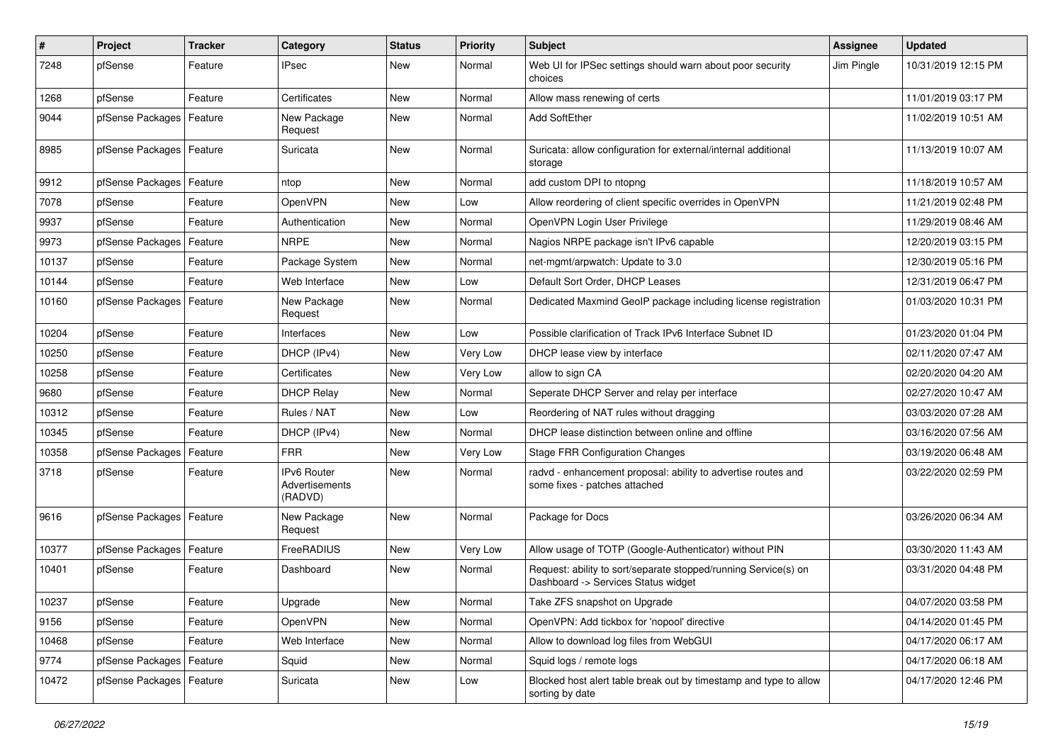| #     | Project                    | <b>Tracker</b> | Category                                 | <b>Status</b> | <b>Priority</b> | Subject                                                                                                | <b>Assignee</b> | <b>Updated</b>      |
|-------|----------------------------|----------------|------------------------------------------|---------------|-----------------|--------------------------------------------------------------------------------------------------------|-----------------|---------------------|
| 7248  | pfSense                    | Feature        | IPsec                                    | New           | Normal          | Web UI for IPSec settings should warn about poor security<br>choices                                   | Jim Pingle      | 10/31/2019 12:15 PM |
| 1268  | pfSense                    | Feature        | Certificates                             | New           | Normal          | Allow mass renewing of certs                                                                           |                 | 11/01/2019 03:17 PM |
| 9044  | pfSense Packages   Feature |                | New Package<br>Request                   | New           | Normal          | <b>Add SoftEther</b>                                                                                   |                 | 11/02/2019 10:51 AM |
| 8985  | pfSense Packages   Feature |                | Suricata                                 | New           | Normal          | Suricata: allow configuration for external/internal additional<br>storage                              |                 | 11/13/2019 10:07 AM |
| 9912  | pfSense Packages           | Feature        | ntop                                     | New           | Normal          | add custom DPI to ntopng                                                                               |                 | 11/18/2019 10:57 AM |
| 7078  | pfSense                    | Feature        | OpenVPN                                  | New           | Low             | Allow reordering of client specific overrides in OpenVPN                                               |                 | 11/21/2019 02:48 PM |
| 9937  | pfSense                    | Feature        | Authentication                           | New           | Normal          | OpenVPN Login User Privilege                                                                           |                 | 11/29/2019 08:46 AM |
| 9973  | pfSense Packages           | Feature        | <b>NRPE</b>                              | New           | Normal          | Nagios NRPE package isn't IPv6 capable                                                                 |                 | 12/20/2019 03:15 PM |
| 10137 | pfSense                    | Feature        | Package System                           | New           | Normal          | net-mgmt/arpwatch: Update to 3.0                                                                       |                 | 12/30/2019 05:16 PM |
| 10144 | pfSense                    | Feature        | Web Interface                            | New           | Low             | Default Sort Order, DHCP Leases                                                                        |                 | 12/31/2019 06:47 PM |
| 10160 | pfSense Packages   Feature |                | New Package<br>Request                   | New           | Normal          | Dedicated Maxmind GeoIP package including license registration                                         |                 | 01/03/2020 10:31 PM |
| 10204 | pfSense                    | Feature        | Interfaces                               | New           | Low             | Possible clarification of Track IPv6 Interface Subnet ID                                               |                 | 01/23/2020 01:04 PM |
| 10250 | pfSense                    | Feature        | DHCP (IPv4)                              | New           | Very Low        | DHCP lease view by interface                                                                           |                 | 02/11/2020 07:47 AM |
| 10258 | pfSense                    | Feature        | Certificates                             | New           | Very Low        | allow to sign CA                                                                                       |                 | 02/20/2020 04:20 AM |
| 9680  | pfSense                    | Feature        | <b>DHCP Relay</b>                        | New           | Normal          | Seperate DHCP Server and relay per interface                                                           |                 | 02/27/2020 10:47 AM |
| 10312 | pfSense                    | Feature        | Rules / NAT                              | New           | Low             | Reordering of NAT rules without dragging                                                               |                 | 03/03/2020 07:28 AM |
| 10345 | pfSense                    | Feature        | DHCP (IPv4)                              | New           | Normal          | DHCP lease distinction between online and offline                                                      |                 | 03/16/2020 07:56 AM |
| 10358 | pfSense Packages           | Feature        | FRR                                      | New           | Very Low        | <b>Stage FRR Configuration Changes</b>                                                                 |                 | 03/19/2020 06:48 AM |
| 3718  | pfSense                    | Feature        | IPv6 Router<br>Advertisements<br>(RADVD) | New           | Normal          | radvd - enhancement proposal: ability to advertise routes and<br>some fixes - patches attached         |                 | 03/22/2020 02:59 PM |
| 9616  | pfSense Packages   Feature |                | New Package<br>Request                   | <b>New</b>    | Normal          | Package for Docs                                                                                       |                 | 03/26/2020 06:34 AM |
| 10377 | pfSense Packages           | Feature        | FreeRADIUS                               | New           | Very Low        | Allow usage of TOTP (Google-Authenticator) without PIN                                                 |                 | 03/30/2020 11:43 AM |
| 10401 | pfSense                    | Feature        | Dashboard                                | New           | Normal          | Request: ability to sort/separate stopped/running Service(s) on<br>Dashboard -> Services Status widget |                 | 03/31/2020 04:48 PM |
| 10237 | pfSense                    | Feature        | Upgrade                                  | New           | Normal          | Take ZFS snapshot on Upgrade                                                                           |                 | 04/07/2020 03:58 PM |
| 9156  | pfSense                    | Feature        | OpenVPN                                  | New           | Normal          | OpenVPN: Add tickbox for 'nopool' directive                                                            |                 | 04/14/2020 01:45 PM |
| 10468 | pfSense                    | Feature        | Web Interface                            | New           | Normal          | Allow to download log files from WebGUI                                                                |                 | 04/17/2020 06:17 AM |
| 9774  | pfSense Packages   Feature |                | Squid                                    | New           | Normal          | Squid logs / remote logs                                                                               |                 | 04/17/2020 06:18 AM |
| 10472 | pfSense Packages   Feature |                | Suricata                                 | New           | Low             | Blocked host alert table break out by timestamp and type to allow<br>sorting by date                   |                 | 04/17/2020 12:46 PM |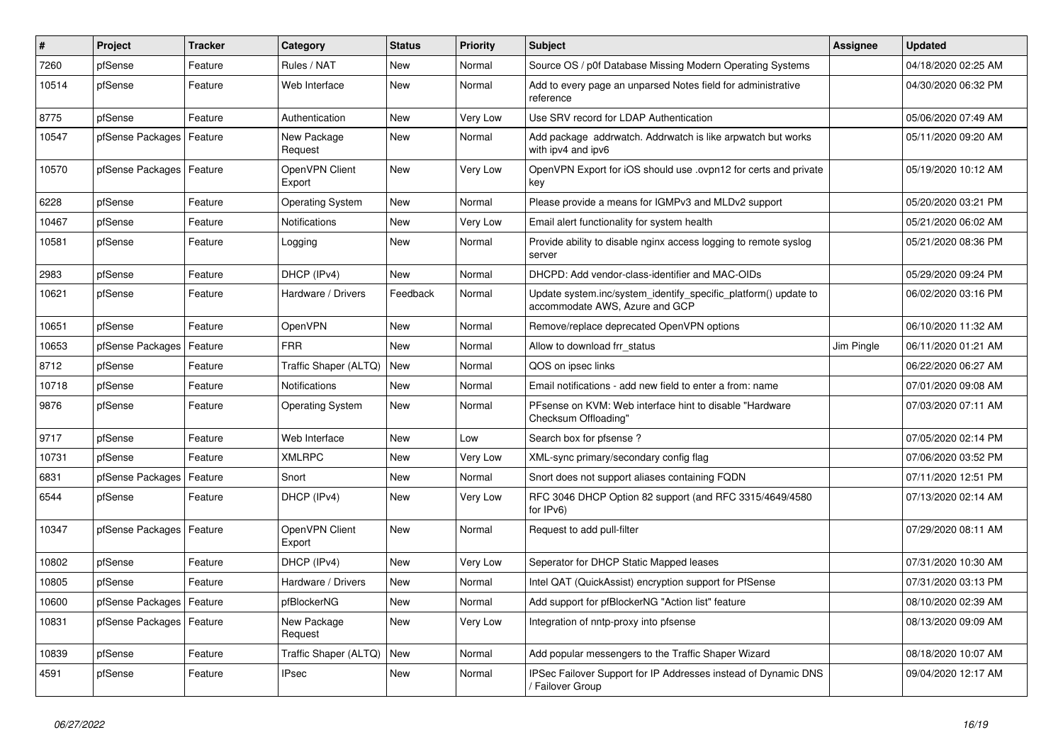| #     | Project                    | <b>Tracker</b> | Category                 | <b>Status</b> | <b>Priority</b> | <b>Subject</b>                                                                                    | <b>Assignee</b> | <b>Updated</b>      |
|-------|----------------------------|----------------|--------------------------|---------------|-----------------|---------------------------------------------------------------------------------------------------|-----------------|---------------------|
| 7260  | pfSense                    | Feature        | Rules / NAT              | New           | Normal          | Source OS / p0f Database Missing Modern Operating Systems                                         |                 | 04/18/2020 02:25 AM |
| 10514 | pfSense                    | Feature        | Web Interface            | New           | Normal          | Add to every page an unparsed Notes field for administrative<br>reference                         |                 | 04/30/2020 06:32 PM |
| 8775  | pfSense                    | Feature        | Authentication           | <b>New</b>    | Very Low        | Use SRV record for LDAP Authentication                                                            |                 | 05/06/2020 07:49 AM |
| 10547 | pfSense Packages           | Feature        | New Package<br>Request   | New           | Normal          | Add package addrwatch. Addrwatch is like arpwatch but works<br>with ipv4 and ipv6                 |                 | 05/11/2020 09:20 AM |
| 10570 | pfSense Packages   Feature |                | OpenVPN Client<br>Export | New           | Very Low        | OpenVPN Export for iOS should use .ovpn12 for certs and private<br>key                            |                 | 05/19/2020 10:12 AM |
| 6228  | pfSense                    | Feature        | <b>Operating System</b>  | <b>New</b>    | Normal          | Please provide a means for IGMPv3 and MLDv2 support                                               |                 | 05/20/2020 03:21 PM |
| 10467 | pfSense                    | Feature        | Notifications            | New           | Very Low        | Email alert functionality for system health                                                       |                 | 05/21/2020 06:02 AM |
| 10581 | pfSense                    | Feature        | Logging                  | New           | Normal          | Provide ability to disable nginx access logging to remote syslog<br>server                        |                 | 05/21/2020 08:36 PM |
| 2983  | pfSense                    | Feature        | DHCP (IPv4)              | <b>New</b>    | Normal          | DHCPD: Add vendor-class-identifier and MAC-OIDs                                                   |                 | 05/29/2020 09:24 PM |
| 10621 | pfSense                    | Feature        | Hardware / Drivers       | Feedback      | Normal          | Update system.inc/system_identify_specific_platform() update to<br>accommodate AWS, Azure and GCP |                 | 06/02/2020 03:16 PM |
| 10651 | pfSense                    | Feature        | <b>OpenVPN</b>           | New           | Normal          | Remove/replace deprecated OpenVPN options                                                         |                 | 06/10/2020 11:32 AM |
| 10653 | pfSense Packages           | Feature        | FRR                      | New           | Normal          | Allow to download frr status                                                                      | Jim Pingle      | 06/11/2020 01:21 AM |
| 8712  | pfSense                    | Feature        | Traffic Shaper (ALTQ)    | New           | Normal          | QOS on ipsec links                                                                                |                 | 06/22/2020 06:27 AM |
| 10718 | pfSense                    | Feature        | <b>Notifications</b>     | <b>New</b>    | Normal          | Email notifications - add new field to enter a from: name                                         |                 | 07/01/2020 09:08 AM |
| 9876  | pfSense                    | Feature        | <b>Operating System</b>  | New           | Normal          | PFsense on KVM: Web interface hint to disable "Hardware"<br>Checksum Offloading"                  |                 | 07/03/2020 07:11 AM |
| 9717  | pfSense                    | Feature        | Web Interface            | New           | Low             | Search box for pfsense ?                                                                          |                 | 07/05/2020 02:14 PM |
| 10731 | pfSense                    | Feature        | <b>XMLRPC</b>            | New           | Very Low        | XML-sync primary/secondary config flag                                                            |                 | 07/06/2020 03:52 PM |
| 6831  | pfSense Packages           | Feature        | Snort                    | New           | Normal          | Snort does not support aliases containing FQDN                                                    |                 | 07/11/2020 12:51 PM |
| 6544  | pfSense                    | Feature        | DHCP (IPv4)              | New           | Very Low        | RFC 3046 DHCP Option 82 support (and RFC 3315/4649/4580<br>for IPv6)                              |                 | 07/13/2020 02:14 AM |
| 10347 | pfSense Packages   Feature |                | OpenVPN Client<br>Export | <b>New</b>    | Normal          | Request to add pull-filter                                                                        |                 | 07/29/2020 08:11 AM |
| 10802 | pfSense                    | Feature        | DHCP (IPv4)              | <b>New</b>    | Very Low        | Seperator for DHCP Static Mapped leases                                                           |                 | 07/31/2020 10:30 AM |
| 10805 | pfSense                    | Feature        | Hardware / Drivers       | New           | Normal          | Intel QAT (QuickAssist) encryption support for PfSense                                            |                 | 07/31/2020 03:13 PM |
| 10600 | pfSense Packages   Feature |                | pfBlockerNG              | New           | Normal          | Add support for pfBlockerNG "Action list" feature                                                 |                 | 08/10/2020 02:39 AM |
| 10831 | pfSense Packages   Feature |                | New Package<br>Request   | New           | Very Low        | Integration of nntp-proxy into pfsense                                                            |                 | 08/13/2020 09:09 AM |
| 10839 | pfSense                    | Feature        | Traffic Shaper (ALTQ)    | New           | Normal          | Add popular messengers to the Traffic Shaper Wizard                                               |                 | 08/18/2020 10:07 AM |
| 4591  | pfSense                    | Feature        | <b>IPsec</b>             | New           | Normal          | IPSec Failover Support for IP Addresses instead of Dynamic DNS<br>/ Failover Group                |                 | 09/04/2020 12:17 AM |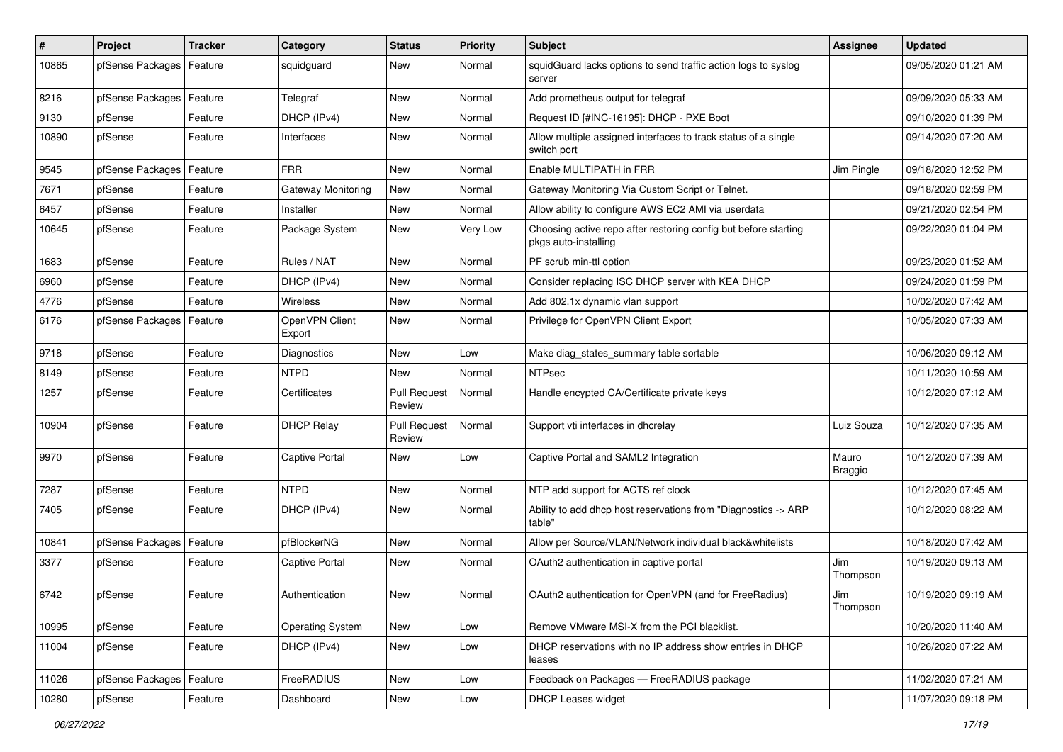| #     | Project                    | Tracker | Category                 | <b>Status</b>                 | <b>Priority</b> | <b>Subject</b>                                                                          | Assignee         | <b>Updated</b>      |
|-------|----------------------------|---------|--------------------------|-------------------------------|-----------------|-----------------------------------------------------------------------------------------|------------------|---------------------|
| 10865 | pfSense Packages           | Feature | squidguard               | New                           | Normal          | squidGuard lacks options to send traffic action logs to syslog<br>server                |                  | 09/05/2020 01:21 AM |
| 8216  | pfSense Packages           | Feature | Telegraf                 | New                           | Normal          | Add prometheus output for telegraf                                                      |                  | 09/09/2020 05:33 AM |
| 9130  | pfSense                    | Feature | DHCP (IPv4)              | New                           | Normal          | Request ID [#INC-16195]: DHCP - PXE Boot                                                |                  | 09/10/2020 01:39 PM |
| 10890 | pfSense                    | Feature | Interfaces               | New                           | Normal          | Allow multiple assigned interfaces to track status of a single<br>switch port           |                  | 09/14/2020 07:20 AM |
| 9545  | pfSense Packages   Feature |         | <b>FRR</b>               | New                           | Normal          | Enable MULTIPATH in FRR                                                                 | Jim Pingle       | 09/18/2020 12:52 PM |
| 7671  | pfSense                    | Feature | Gateway Monitoring       | New                           | Normal          | Gateway Monitoring Via Custom Script or Telnet.                                         |                  | 09/18/2020 02:59 PM |
| 6457  | pfSense                    | Feature | Installer                | New                           | Normal          | Allow ability to configure AWS EC2 AMI via userdata                                     |                  | 09/21/2020 02:54 PM |
| 10645 | pfSense                    | Feature | Package System           | New                           | Very Low        | Choosing active repo after restoring config but before starting<br>pkgs auto-installing |                  | 09/22/2020 01:04 PM |
| 1683  | pfSense                    | Feature | Rules / NAT              | New                           | Normal          | PF scrub min-ttl option                                                                 |                  | 09/23/2020 01:52 AM |
| 6960  | pfSense                    | Feature | DHCP (IPv4)              | New                           | Normal          | Consider replacing ISC DHCP server with KEA DHCP                                        |                  | 09/24/2020 01:59 PM |
| 4776  | pfSense                    | Feature | Wireless                 | New                           | Normal          | Add 802.1x dynamic vlan support                                                         |                  | 10/02/2020 07:42 AM |
| 6176  | pfSense Packages   Feature |         | OpenVPN Client<br>Export | New                           | Normal          | Privilege for OpenVPN Client Export                                                     |                  | 10/05/2020 07:33 AM |
| 9718  | pfSense                    | Feature | Diagnostics              | New                           | Low             | Make diag states summary table sortable                                                 |                  | 10/06/2020 09:12 AM |
| 8149  | pfSense                    | Feature | <b>NTPD</b>              | <b>New</b>                    | Normal          | <b>NTPsec</b>                                                                           |                  | 10/11/2020 10:59 AM |
| 1257  | pfSense                    | Feature | Certificates             | <b>Pull Request</b><br>Review | Normal          | Handle encypted CA/Certificate private keys                                             |                  | 10/12/2020 07:12 AM |
| 10904 | pfSense                    | Feature | <b>DHCP Relay</b>        | Pull Request<br>Review        | Normal          | Support vti interfaces in dhcrelay                                                      | Luiz Souza       | 10/12/2020 07:35 AM |
| 9970  | pfSense                    | Feature | Captive Portal           | New                           | Low             | Captive Portal and SAML2 Integration                                                    | Mauro<br>Braggio | 10/12/2020 07:39 AM |
| 7287  | pfSense                    | Feature | <b>NTPD</b>              | New                           | Normal          | NTP add support for ACTS ref clock                                                      |                  | 10/12/2020 07:45 AM |
| 7405  | pfSense                    | Feature | DHCP (IPv4)              | New                           | Normal          | Ability to add dhcp host reservations from "Diagnostics -> ARP<br>table"                |                  | 10/12/2020 08:22 AM |
| 10841 | pfSense Packages           | Feature | pfBlockerNG              | New                           | Normal          | Allow per Source/VLAN/Network individual black&whitelists                               |                  | 10/18/2020 07:42 AM |
| 3377  | pfSense                    | Feature | Captive Portal           | New                           | Normal          | OAuth2 authentication in captive portal                                                 | Jim<br>Thompson  | 10/19/2020 09:13 AM |
| 6742  | pfSense                    | Feature | Authentication           | New                           | Normal          | OAuth2 authentication for OpenVPN (and for FreeRadius)                                  | Jim<br>Thompson  | 10/19/2020 09:19 AM |
| 10995 | pfSense                    | Feature | <b>Operating System</b>  | New                           | Low             | Remove VMware MSI-X from the PCI blacklist.                                             |                  | 10/20/2020 11:40 AM |
| 11004 | pfSense                    | Feature | DHCP (IPv4)              | New                           | Low             | DHCP reservations with no IP address show entries in DHCP<br>leases                     |                  | 10/26/2020 07:22 AM |
| 11026 | pfSense Packages           | Feature | FreeRADIUS               | New                           | Low             | Feedback on Packages - FreeRADIUS package                                               |                  | 11/02/2020 07:21 AM |
| 10280 | pfSense                    | Feature | Dashboard                | New                           | Low             | <b>DHCP Leases widget</b>                                                               |                  | 11/07/2020 09:18 PM |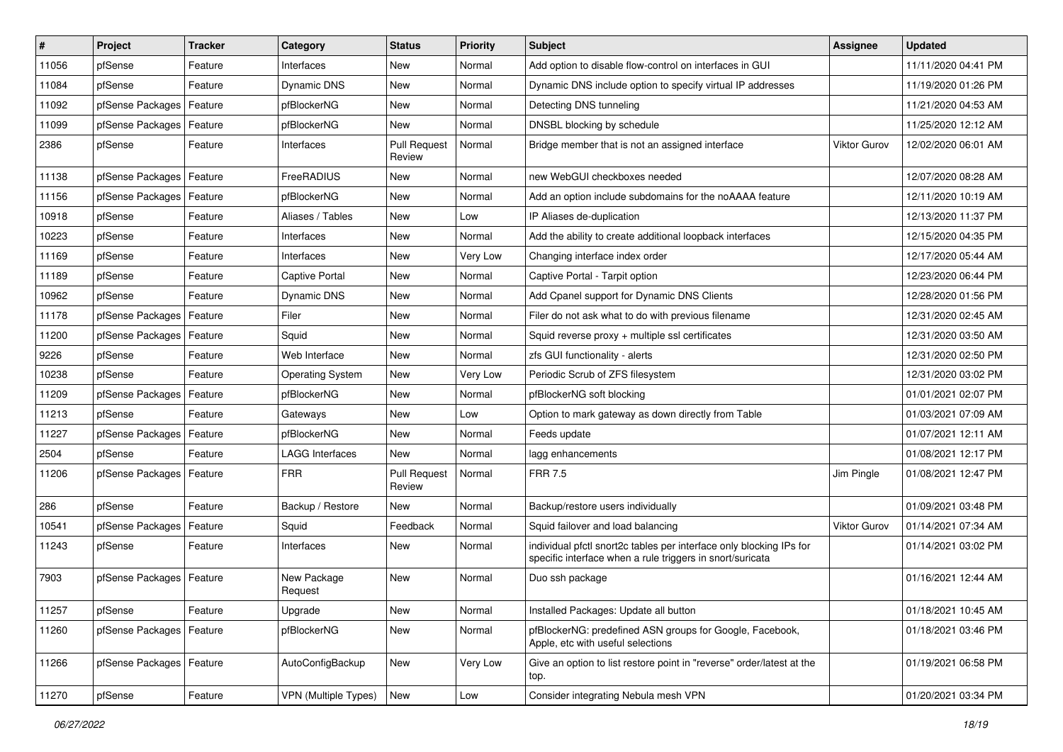| #     | Project                    | <b>Tracker</b> | Category                | <b>Status</b>                 | <b>Priority</b> | <b>Subject</b>                                                                                                                   | Assignee     | <b>Updated</b>      |
|-------|----------------------------|----------------|-------------------------|-------------------------------|-----------------|----------------------------------------------------------------------------------------------------------------------------------|--------------|---------------------|
| 11056 | pfSense                    | Feature        | Interfaces              | New                           | Normal          | Add option to disable flow-control on interfaces in GUI                                                                          |              | 11/11/2020 04:41 PM |
| 11084 | pfSense                    | Feature        | Dynamic DNS             | New                           | Normal          | Dynamic DNS include option to specify virtual IP addresses                                                                       |              | 11/19/2020 01:26 PM |
| 11092 | pfSense Packages           | Feature        | pfBlockerNG             | New                           | Normal          | Detecting DNS tunneling                                                                                                          |              | 11/21/2020 04:53 AM |
| 11099 | pfSense Packages   Feature |                | pfBlockerNG             | New                           | Normal          | DNSBL blocking by schedule                                                                                                       |              | 11/25/2020 12:12 AM |
| 2386  | pfSense                    | Feature        | Interfaces              | <b>Pull Request</b><br>Review | Normal          | Bridge member that is not an assigned interface                                                                                  | Viktor Gurov | 12/02/2020 06:01 AM |
| 11138 | pfSense Packages   Feature |                | FreeRADIUS              | New                           | Normal          | new WebGUI checkboxes needed                                                                                                     |              | 12/07/2020 08:28 AM |
| 11156 | pfSense Packages           | Feature        | pfBlockerNG             | New                           | Normal          | Add an option include subdomains for the noAAAA feature                                                                          |              | 12/11/2020 10:19 AM |
| 10918 | pfSense                    | Feature        | Aliases / Tables        | New                           | Low             | IP Aliases de-duplication                                                                                                        |              | 12/13/2020 11:37 PM |
| 10223 | pfSense                    | Feature        | Interfaces              | New                           | Normal          | Add the ability to create additional loopback interfaces                                                                         |              | 12/15/2020 04:35 PM |
| 11169 | pfSense                    | Feature        | Interfaces              | New                           | Very Low        | Changing interface index order                                                                                                   |              | 12/17/2020 05:44 AM |
| 11189 | pfSense                    | Feature        | <b>Captive Portal</b>   | New                           | Normal          | Captive Portal - Tarpit option                                                                                                   |              | 12/23/2020 06:44 PM |
| 10962 | pfSense                    | Feature        | Dynamic DNS             | New                           | Normal          | Add Cpanel support for Dynamic DNS Clients                                                                                       |              | 12/28/2020 01:56 PM |
| 11178 | pfSense Packages           | Feature        | Filer                   | New                           | Normal          | Filer do not ask what to do with previous filename                                                                               |              | 12/31/2020 02:45 AM |
| 11200 | pfSense Packages           | Feature        | Squid                   | New                           | Normal          | Squid reverse proxy + multiple ssl certificates                                                                                  |              | 12/31/2020 03:50 AM |
| 9226  | pfSense                    | Feature        | Web Interface           | New                           | Normal          | zfs GUI functionality - alerts                                                                                                   |              | 12/31/2020 02:50 PM |
| 10238 | pfSense                    | Feature        | <b>Operating System</b> | New                           | Very Low        | Periodic Scrub of ZFS filesystem                                                                                                 |              | 12/31/2020 03:02 PM |
| 11209 | pfSense Packages           | Feature        | pfBlockerNG             | New                           | Normal          | pfBlockerNG soft blocking                                                                                                        |              | 01/01/2021 02:07 PM |
| 11213 | pfSense                    | Feature        | Gateways                | New                           | Low             | Option to mark gateway as down directly from Table                                                                               |              | 01/03/2021 07:09 AM |
| 11227 | pfSense Packages           | Feature        | pfBlockerNG             | New                           | Normal          | Feeds update                                                                                                                     |              | 01/07/2021 12:11 AM |
| 2504  | pfSense                    | Feature        | <b>LAGG Interfaces</b>  | New                           | Normal          | lagg enhancements                                                                                                                |              | 01/08/2021 12:17 PM |
| 11206 | pfSense Packages           | Feature        | <b>FRR</b>              | <b>Pull Request</b><br>Review | Normal          | <b>FRR 7.5</b>                                                                                                                   | Jim Pingle   | 01/08/2021 12:47 PM |
| 286   | pfSense                    | Feature        | Backup / Restore        | New                           | Normal          | Backup/restore users individually                                                                                                |              | 01/09/2021 03:48 PM |
| 10541 | pfSense Packages   Feature |                | Squid                   | Feedback                      | Normal          | Squid failover and load balancing                                                                                                | Viktor Gurov | 01/14/2021 07:34 AM |
| 11243 | pfSense                    | Feature        | Interfaces              | New                           | Normal          | individual pfctl snort2c tables per interface only blocking IPs for<br>specific interface when a rule triggers in snort/suricata |              | 01/14/2021 03:02 PM |
| 7903  | pfSense Packages   Feature |                | New Package<br>Request  | New                           | Normal          | Duo ssh package                                                                                                                  |              | 01/16/2021 12:44 AM |
| 11257 | pfSense                    | Feature        | Upgrade                 | New                           | Normal          | Installed Packages: Update all button                                                                                            |              | 01/18/2021 10:45 AM |
| 11260 | pfSense Packages           | Feature        | pfBlockerNG             | New                           | Normal          | pfBlockerNG: predefined ASN groups for Google, Facebook,<br>Apple, etc with useful selections                                    |              | 01/18/2021 03:46 PM |
| 11266 | pfSense Packages   Feature |                | AutoConfigBackup        | New                           | Very Low        | Give an option to list restore point in "reverse" order/latest at the<br>top.                                                    |              | 01/19/2021 06:58 PM |
| 11270 | pfSense                    | Feature        | VPN (Multiple Types)    | New                           | Low             | Consider integrating Nebula mesh VPN                                                                                             |              | 01/20/2021 03:34 PM |